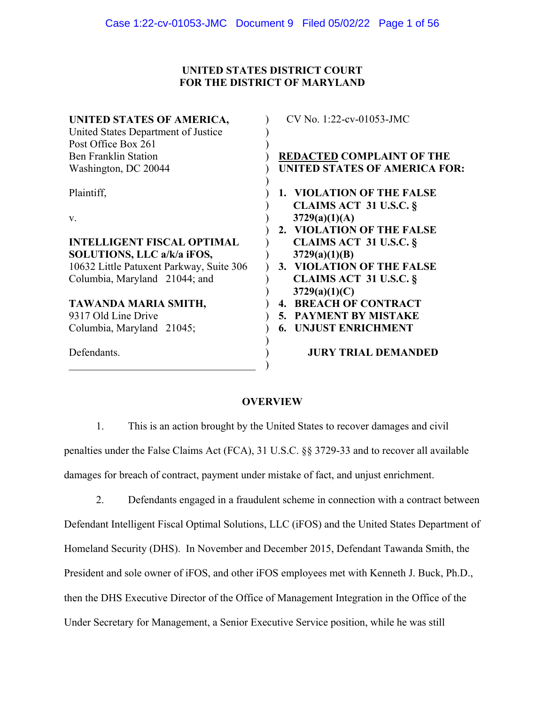# **UNITED STATES DISTRICT COURT FOR THE DISTRICT OF MARYLAND**

| UNITED STATES OF AMERICA,                | CV No. 1:22-cv-01053-JMC             |
|------------------------------------------|--------------------------------------|
| United States Department of Justice      |                                      |
| Post Office Box 261                      |                                      |
| <b>Ben Franklin Station</b>              |                                      |
|                                          | <b>REDACTED COMPLAINT OF THE</b>     |
| Washington, DC 20044                     | <b>UNITED STATES OF AMERICA FOR:</b> |
| Plaintiff,                               | 1. VIOLATION OF THE FALSE            |
|                                          | <b>CLAIMS ACT 31 U.S.C. §</b>        |
| V.                                       | 3729(a)(1)(A)                        |
|                                          | 2. VIOLATION OF THE FALSE            |
| <b>INTELLIGENT FISCAL OPTIMAL</b>        | <b>CLAIMS ACT 31 U.S.C. §</b>        |
| SOLUTIONS, LLC a/k/a iFOS,               | 3729(a)(1)(B)                        |
| 10632 Little Patuxent Parkway, Suite 306 | 3. VIOLATION OF THE FALSE            |
| Columbia, Maryland 21044; and            | <b>CLAIMS ACT 31 U.S.C. §</b>        |
|                                          | 3729(a)(1)(C)                        |
| TAWANDA MARIA SMITH,                     | <b>BREACH OF CONTRACT</b><br>4.      |
|                                          |                                      |
| 9317 Old Line Drive                      | 5. PAYMENT BY MISTAKE                |
| Columbia, Maryland 21045;                | <b>UNJUST ENRICHMENT</b><br>6.       |
| Defendants.                              | <b>JURY TRIAL DEMANDED</b>           |
|                                          |                                      |

# **OVERVIEW**

1. This is an action brought by the United States to recover damages and civil penalties under the False Claims Act (FCA), 31 U.S.C. §§ 3729-33 and to recover all available damages for breach of contract, payment under mistake of fact, and unjust enrichment.

2. Defendants engaged in a fraudulent scheme in connection with a contract between Defendant Intelligent Fiscal Optimal Solutions, LLC (iFOS) and the United States Department of Homeland Security (DHS). In November and December 2015, Defendant Tawanda Smith, the President and sole owner of iFOS, and other iFOS employees met with Kenneth J. Buck, Ph.D., then the DHS Executive Director of the Office of Management Integration in the Office of the Under Secretary for Management, a Senior Executive Service position, while he was still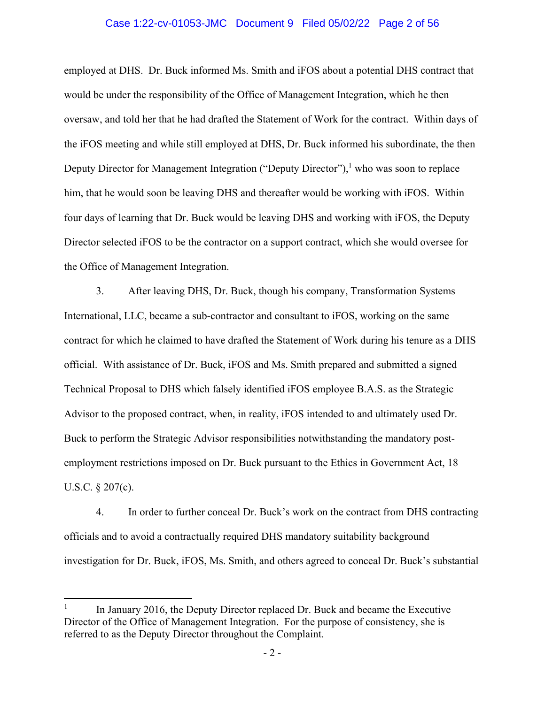## Case 1:22-cv-01053-JMC Document 9 Filed 05/02/22 Page 2 of 56

employed at DHS. Dr. Buck informed Ms. Smith and iFOS about a potential DHS contract that would be under the responsibility of the Office of Management Integration, which he then oversaw, and told her that he had drafted the Statement of Work for the contract. Within days of the iFOS meeting and while still employed at DHS, Dr. Buck informed his subordinate, the then Deputy Director for Management Integration ("Deputy Director"),<sup>1</sup> who was soon to replace him, that he would soon be leaving DHS and thereafter would be working with iFOS. Within four days of learning that Dr. Buck would be leaving DHS and working with iFOS, the Deputy Director selected iFOS to be the contractor on a support contract, which she would oversee for the Office of Management Integration.

3. After leaving DHS, Dr. Buck, though his company, Transformation Systems International, LLC, became a sub-contractor and consultant to iFOS, working on the same contract for which he claimed to have drafted the Statement of Work during his tenure as a DHS official. With assistance of Dr. Buck, iFOS and Ms. Smith prepared and submitted a signed Technical Proposal to DHS which falsely identified iFOS employee B.A.S. as the Strategic Advisor to the proposed contract, when, in reality, iFOS intended to and ultimately used Dr. Buck to perform the Strategic Advisor responsibilities notwithstanding the mandatory postemployment restrictions imposed on Dr. Buck pursuant to the Ethics in Government Act, 18 U.S.C. § 207(c).

4. In order to further conceal Dr. Buck's work on the contract from DHS contracting officials and to avoid a contractually required DHS mandatory suitability background investigation for Dr. Buck, iFOS, Ms. Smith, and others agreed to conceal Dr. Buck's substantial

 1 In January 2016, the Deputy Director replaced Dr. Buck and became the Executive Director of the Office of Management Integration. For the purpose of consistency, she is referred to as the Deputy Director throughout the Complaint.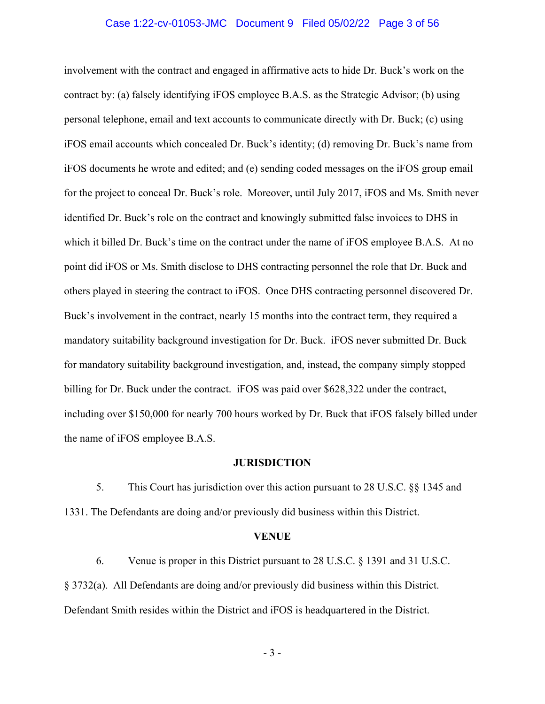## Case 1:22-cv-01053-JMC Document 9 Filed 05/02/22 Page 3 of 56

involvement with the contract and engaged in affirmative acts to hide Dr. Buck's work on the contract by: (a) falsely identifying iFOS employee B.A.S. as the Strategic Advisor; (b) using personal telephone, email and text accounts to communicate directly with Dr. Buck; (c) using iFOS email accounts which concealed Dr. Buck's identity; (d) removing Dr. Buck's name from iFOS documents he wrote and edited; and (e) sending coded messages on the iFOS group email for the project to conceal Dr. Buck's role. Moreover, until July 2017, iFOS and Ms. Smith never identified Dr. Buck's role on the contract and knowingly submitted false invoices to DHS in which it billed Dr. Buck's time on the contract under the name of iFOS employee B.A.S. At no point did iFOS or Ms. Smith disclose to DHS contracting personnel the role that Dr. Buck and others played in steering the contract to iFOS. Once DHS contracting personnel discovered Dr. Buck's involvement in the contract, nearly 15 months into the contract term, they required a mandatory suitability background investigation for Dr. Buck. iFOS never submitted Dr. Buck for mandatory suitability background investigation, and, instead, the company simply stopped billing for Dr. Buck under the contract. iFOS was paid over \$628,322 under the contract, including over \$150,000 for nearly 700 hours worked by Dr. Buck that iFOS falsely billed under the name of iFOS employee B.A.S.

#### **JURISDICTION**

5. This Court has jurisdiction over this action pursuant to 28 U.S.C. §§ 1345 and 1331. The Defendants are doing and/or previously did business within this District.

#### **VENUE**

6. Venue is proper in this District pursuant to 28 U.S.C. § 1391 and 31 U.S.C. § 3732(a). All Defendants are doing and/or previously did business within this District. Defendant Smith resides within the District and iFOS is headquartered in the District.

- 3 -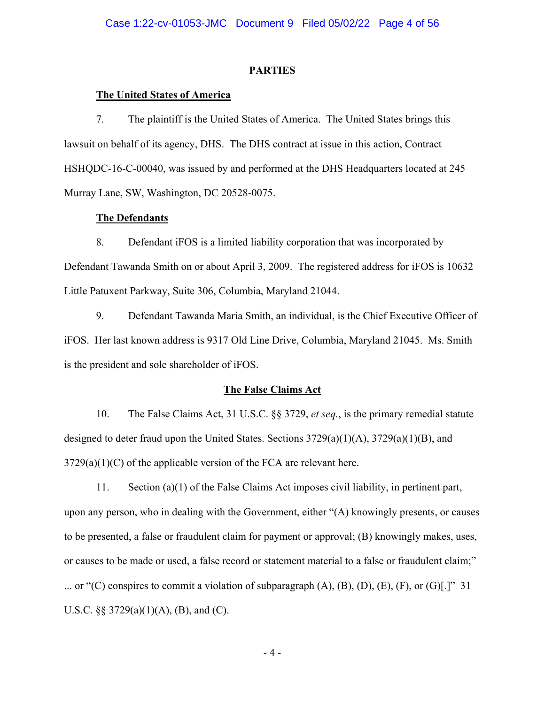#### **PARTIES**

## **The United States of America**

7. The plaintiff is the United States of America. The United States brings this lawsuit on behalf of its agency, DHS. The DHS contract at issue in this action, Contract HSHQDC-16-C-00040, was issued by and performed at the DHS Headquarters located at 245 Murray Lane, SW, Washington, DC 20528-0075.

## **The Defendants**

8. Defendant iFOS is a limited liability corporation that was incorporated by Defendant Tawanda Smith on or about April 3, 2009. The registered address for iFOS is 10632 Little Patuxent Parkway, Suite 306, Columbia, Maryland 21044.

9. Defendant Tawanda Maria Smith, an individual, is the Chief Executive Officer of iFOS. Her last known address is 9317 Old Line Drive, Columbia, Maryland 21045. Ms. Smith is the president and sole shareholder of iFOS.

### **The False Claims Act**

10. The False Claims Act, 31 U.S.C. §§ 3729, *et seq.*, is the primary remedial statute designed to deter fraud upon the United States. Sections  $3729(a)(1)(A)$ ,  $3729(a)(1)(B)$ , and  $3729(a)(1)(C)$  of the applicable version of the FCA are relevant here.

11. Section (a)(1) of the False Claims Act imposes civil liability, in pertinent part, upon any person, who in dealing with the Government, either "(A) knowingly presents, or causes to be presented, a false or fraudulent claim for payment or approval; (B) knowingly makes, uses, or causes to be made or used, a false record or statement material to a false or fraudulent claim;" ... or "(C) conspires to commit a violation of subparagraph  $(A)$ ,  $(B)$ ,  $(D)$ ,  $(E)$ ,  $(F)$ , or  $(G)[.]$ " 31 U.S.C.  $\S$  3729(a)(1)(A), (B), and (C).

- 4 -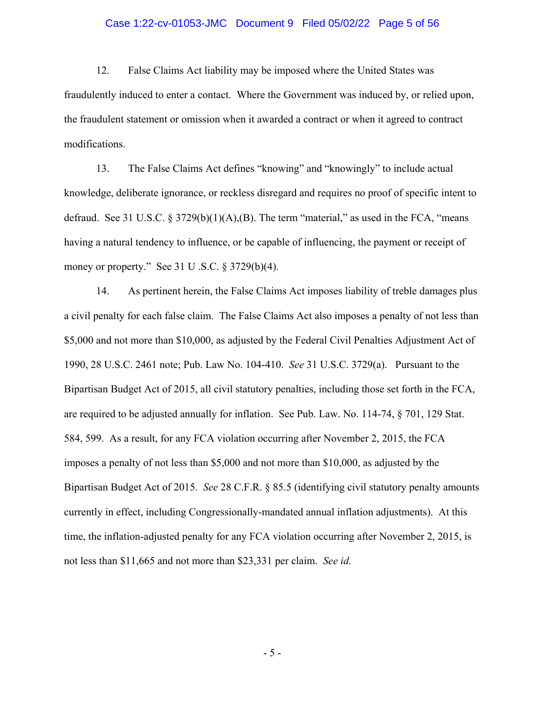## Case 1:22-cv-01053-JMC Document 9 Filed 05/02/22 Page 5 of 56

12. False Claims Act liability may be imposed where the United States was fraudulently induced to enter a contact. Where the Government was induced by, or relied upon, the fraudulent statement or omission when it awarded a contract or when it agreed to contract modifications.

13. The False Claims Act defines "knowing" and "knowingly" to include actual knowledge, deliberate ignorance, or reckless disregard and requires no proof of specific intent to defraud. See 31 U.S.C.  $\S 3729(b)(1)(A),(B)$ . The term "material," as used in the FCA, "means" having a natural tendency to influence, or be capable of influencing, the payment or receipt of money or property." See 31 U .S.C. § 3729(b)(4).

 not less than \$11,665 and not more than \$23,331 per claim. *See id.*  14. As pertinent herein, the False Claims Act imposes liability of treble damages plus a civil penalty for each false claim. The False Claims Act also imposes a penalty of not less than \$5,000 and not more than \$10,000, as adjusted by the Federal Civil Penalties Adjustment Act of 1990, 28 U.S.C. 2461 note; Pub. Law No. 104-410. *See* 31 U.S.C. 3729(a). Pursuant to the Bipartisan Budget Act of 2015, all civil statutory penalties, including those set forth in the FCA, are required to be adjusted annually for inflation. See Pub. Law. No. 114-74, § 701, 129 Stat. 584, 599. As a result, for any FCA violation occurring after November 2, 2015, the FCA imposes a penalty of not less than \$5,000 and not more than \$10,000, as adjusted by the Bipartisan Budget Act of 2015. *See* 28 C.F.R. § 85.5 (identifying civil statutory penalty amounts currently in effect, including Congressionally-mandated annual inflation adjustments). At this time, the inflation-adjusted penalty for any FCA violation occurring after November 2, 2015, is

- 5 -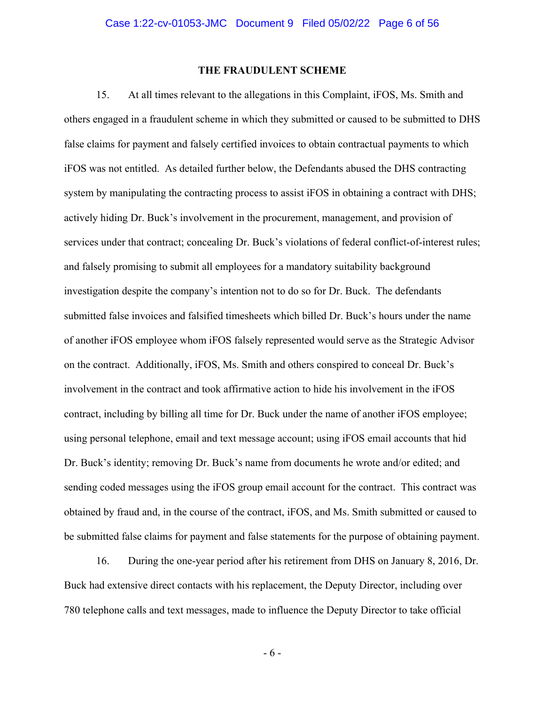### **THE FRAUDULENT SCHEME**

15. At all times relevant to the allegations in this Complaint, iFOS, Ms. Smith and others engaged in a fraudulent scheme in which they submitted or caused to be submitted to DHS false claims for payment and falsely certified invoices to obtain contractual payments to which iFOS was not entitled. As detailed further below, the Defendants abused the DHS contracting system by manipulating the contracting process to assist iFOS in obtaining a contract with DHS; actively hiding Dr. Buck's involvement in the procurement, management, and provision of services under that contract; concealing Dr. Buck's violations of federal conflict-of-interest rules; and falsely promising to submit all employees for a mandatory suitability background investigation despite the company's intention not to do so for Dr. Buck. The defendants submitted false invoices and falsified timesheets which billed Dr. Buck's hours under the name of another iFOS employee whom iFOS falsely represented would serve as the Strategic Advisor on the contract. Additionally, iFOS, Ms. Smith and others conspired to conceal Dr. Buck's involvement in the contract and took affirmative action to hide his involvement in the iFOS contract, including by billing all time for Dr. Buck under the name of another iFOS employee; using personal telephone, email and text message account; using iFOS email accounts that hid Dr. Buck's identity; removing Dr. Buck's name from documents he wrote and/or edited; and sending coded messages using the iFOS group email account for the contract. This contract was obtained by fraud and, in the course of the contract, iFOS, and Ms. Smith submitted or caused to be submitted false claims for payment and false statements for the purpose of obtaining payment.

16. During the one-year period after his retirement from DHS on January 8, 2016, Dr. Buck had extensive direct contacts with his replacement, the Deputy Director, including over 780 telephone calls and text messages, made to influence the Deputy Director to take official

- 6 -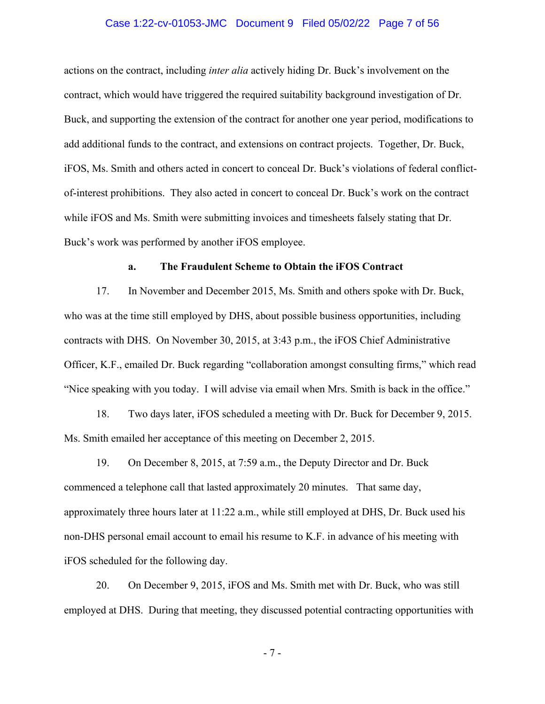## Case 1:22-cv-01053-JMC Document 9 Filed 05/02/22 Page 7 of 56

actions on the contract, including *inter alia* actively hiding Dr. Buck's involvement on the contract, which would have triggered the required suitability background investigation of Dr. Buck, and supporting the extension of the contract for another one year period, modifications to add additional funds to the contract, and extensions on contract projects. Together, Dr. Buck, iFOS, Ms. Smith and others acted in concert to conceal Dr. Buck's violations of federal conflictof-interest prohibitions. They also acted in concert to conceal Dr. Buck's work on the contract while iFOS and Ms. Smith were submitting invoices and timesheets falsely stating that Dr. Buck's work was performed by another iFOS employee.

#### **a. The Fraudulent Scheme to Obtain the iFOS Contract**

17. In November and December 2015, Ms. Smith and others spoke with Dr. Buck, who was at the time still employed by DHS, about possible business opportunities, including contracts with DHS. On November 30, 2015, at 3:43 p.m., the iFOS Chief Administrative Officer, K.F., emailed Dr. Buck regarding "collaboration amongst consulting firms," which read "Nice speaking with you today. I will advise via email when Mrs. Smith is back in the office."

18. Two days later, iFOS scheduled a meeting with Dr. Buck for December 9, 2015. Ms. Smith emailed her acceptance of this meeting on December 2, 2015.

19. On December 8, 2015, at 7:59 a.m., the Deputy Director and Dr. Buck commenced a telephone call that lasted approximately 20 minutes. That same day, approximately three hours later at 11:22 a.m., while still employed at DHS, Dr. Buck used his non-DHS personal email account to email his resume to K.F. in advance of his meeting with iFOS scheduled for the following day.

20. On December 9, 2015, iFOS and Ms. Smith met with Dr. Buck, who was still employed at DHS. During that meeting, they discussed potential contracting opportunities with

- 7 -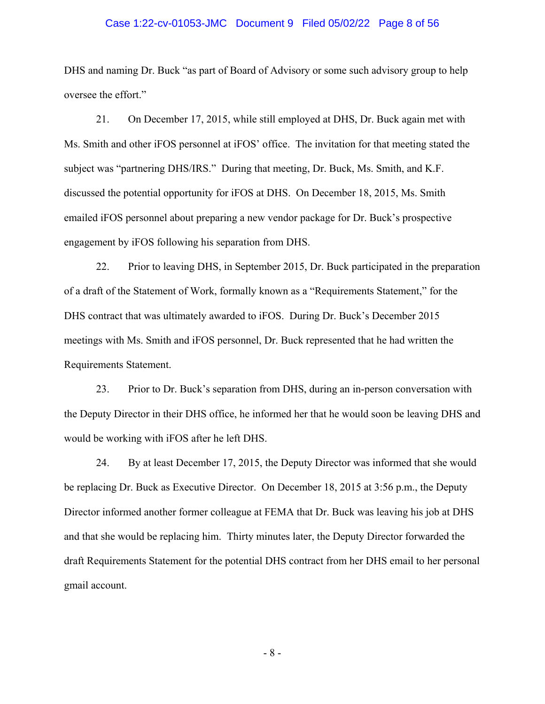## Case 1:22-cv-01053-JMC Document 9 Filed 05/02/22 Page 8 of 56

DHS and naming Dr. Buck "as part of Board of Advisory or some such advisory group to help oversee the effort."

21. On December 17, 2015, while still employed at DHS, Dr. Buck again met with Ms. Smith and other iFOS personnel at iFOS' office. The invitation for that meeting stated the subject was "partnering DHS/IRS." During that meeting, Dr. Buck, Ms. Smith, and K.F. discussed the potential opportunity for iFOS at DHS. On December 18, 2015, Ms. Smith emailed iFOS personnel about preparing a new vendor package for Dr. Buck's prospective engagement by iFOS following his separation from DHS.

22. Prior to leaving DHS, in September 2015, Dr. Buck participated in the preparation of a draft of the Statement of Work, formally known as a "Requirements Statement," for the DHS contract that was ultimately awarded to iFOS. During Dr. Buck's December 2015 meetings with Ms. Smith and iFOS personnel, Dr. Buck represented that he had written the Requirements Statement.

23. Prior to Dr. Buck's separation from DHS, during an in-person conversation with the Deputy Director in their DHS office, he informed her that he would soon be leaving DHS and would be working with iFOS after he left DHS.

24. By at least December 17, 2015, the Deputy Director was informed that she would be replacing Dr. Buck as Executive Director. On December 18, 2015 at 3:56 p.m., the Deputy Director informed another former colleague at FEMA that Dr. Buck was leaving his job at DHS and that she would be replacing him. Thirty minutes later, the Deputy Director forwarded the draft Requirements Statement for the potential DHS contract from her DHS email to her personal gmail account.

- 8 -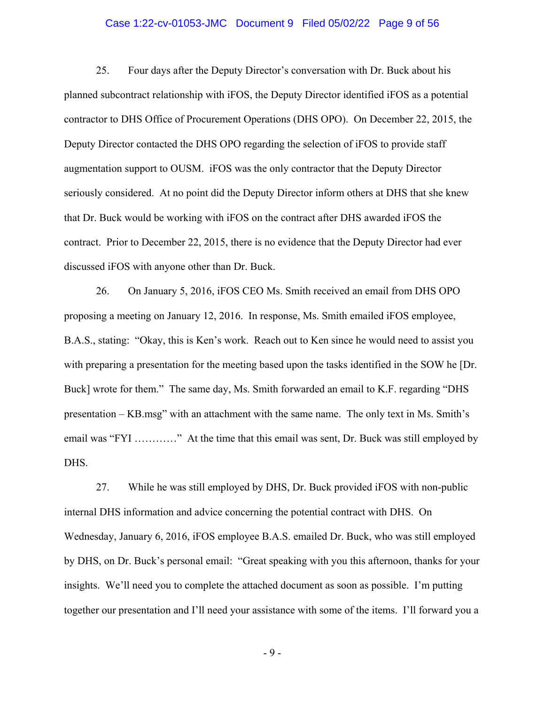## Case 1:22-cv-01053-JMC Document 9 Filed 05/02/22 Page 9 of 56

25. Four days after the Deputy Director's conversation with Dr. Buck about his planned subcontract relationship with iFOS, the Deputy Director identified iFOS as a potential contractor to DHS Office of Procurement Operations (DHS OPO). On December 22, 2015, the Deputy Director contacted the DHS OPO regarding the selection of iFOS to provide staff augmentation support to OUSM. iFOS was the only contractor that the Deputy Director seriously considered. At no point did the Deputy Director inform others at DHS that she knew that Dr. Buck would be working with iFOS on the contract after DHS awarded iFOS the contract. Prior to December 22, 2015, there is no evidence that the Deputy Director had ever discussed iFOS with anyone other than Dr. Buck.

26. On January 5, 2016, iFOS CEO Ms. Smith received an email from DHS OPO proposing a meeting on January 12, 2016. In response, Ms. Smith emailed iFOS employee, B.A.S., stating: "Okay, this is Ken's work. Reach out to Ken since he would need to assist you with preparing a presentation for the meeting based upon the tasks identified in the SOW he [Dr. Buck] wrote for them." The same day, Ms. Smith forwarded an email to K.F. regarding "DHS presentation – KB.msg" with an attachment with the same name. The only text in Ms. Smith's email was "FYI …………" At the time that this email was sent, Dr. Buck was still employed by DHS.

27. While he was still employed by DHS, Dr. Buck provided iFOS with non-public internal DHS information and advice concerning the potential contract with DHS. On Wednesday, January 6, 2016, iFOS employee B.A.S. emailed Dr. Buck, who was still employed by DHS, on Dr. Buck's personal email: "Great speaking with you this afternoon, thanks for your insights. We'll need you to complete the attached document as soon as possible. I'm putting together our presentation and I'll need your assistance with some of the items. I'll forward you a

- 9 -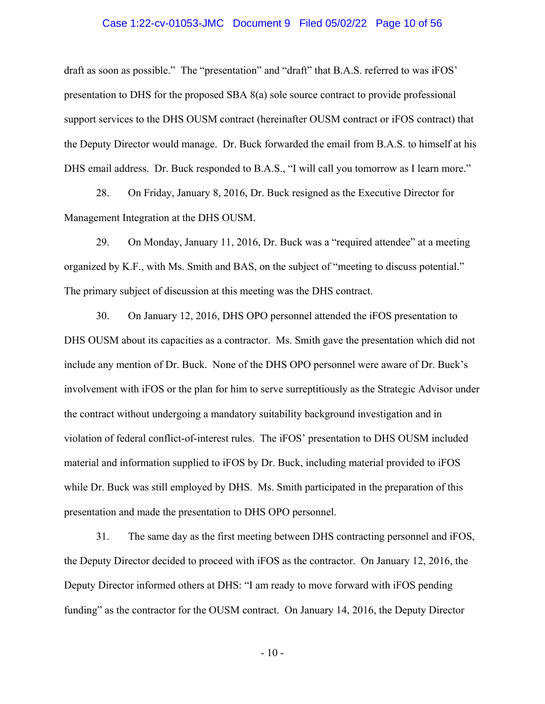## Case 1:22-cv-01053-JMC Document 9 Filed 05/02/22 Page 10 of 56

draft as soon as possible." The "presentation" and "draft" that B.A.S. referred to was iFOS' presentation to DHS for the proposed SBA 8(a) sole source contract to provide professional support services to the DHS OUSM contract (hereinafter OUSM contract or iFOS contract) that the Deputy Director would manage. Dr. Buck forwarded the email from B.A.S. to himself at his DHS email address. Dr. Buck responded to B.A.S., "I will call you tomorrow as I learn more."

28. On Friday, January 8, 2016, Dr. Buck resigned as the Executive Director for Management Integration at the DHS OUSM.

29. On Monday, January 11, 2016, Dr. Buck was a "required attendee" at a meeting organized by K.F., with Ms. Smith and BAS, on the subject of "meeting to discuss potential." The primary subject of discussion at this meeting was the DHS contract.

30. On January 12, 2016, DHS OPO personnel attended the iFOS presentation to DHS OUSM about its capacities as a contractor. Ms. Smith gave the presentation which did not include any mention of Dr. Buck. None of the DHS OPO personnel were aware of Dr. Buck's involvement with iFOS or the plan for him to serve surreptitiously as the Strategic Advisor under the contract without undergoing a mandatory suitability background investigation and in violation of federal conflict-of-interest rules. The iFOS' presentation to DHS OUSM included material and information supplied to iFOS by Dr. Buck, including material provided to iFOS while Dr. Buck was still employed by DHS. Ms. Smith participated in the preparation of this presentation and made the presentation to DHS OPO personnel.

31. The same day as the first meeting between DHS contracting personnel and iFOS, the Deputy Director decided to proceed with iFOS as the contractor. On January 12, 2016, the Deputy Director informed others at DHS: "I am ready to move forward with iFOS pending funding" as the contractor for the OUSM contract. On January 14, 2016, the Deputy Director

- 10 -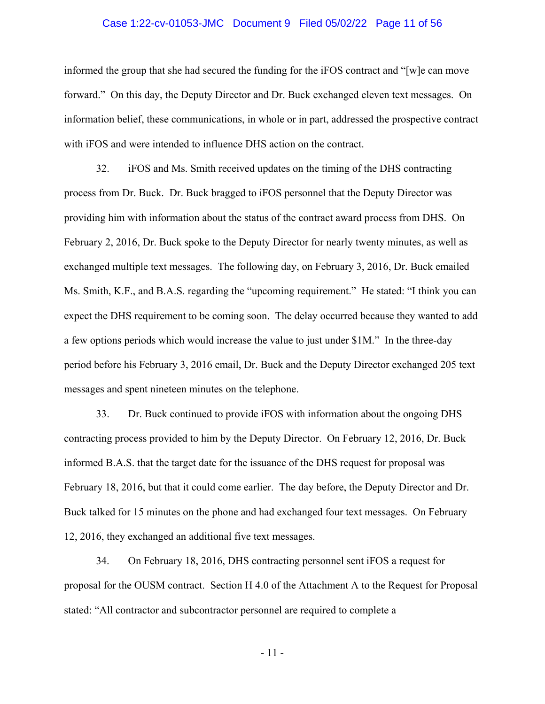## Case 1:22-cv-01053-JMC Document 9 Filed 05/02/22 Page 11 of 56

informed the group that she had secured the funding for the iFOS contract and "[w]e can move forward." On this day, the Deputy Director and Dr. Buck exchanged eleven text messages. On information belief, these communications, in whole or in part, addressed the prospective contract with iFOS and were intended to influence DHS action on the contract.

32. iFOS and Ms. Smith received updates on the timing of the DHS contracting process from Dr. Buck. Dr. Buck bragged to iFOS personnel that the Deputy Director was providing him with information about the status of the contract award process from DHS. On February 2, 2016, Dr. Buck spoke to the Deputy Director for nearly twenty minutes, as well as exchanged multiple text messages. The following day, on February 3, 2016, Dr. Buck emailed Ms. Smith, K.F., and B.A.S. regarding the "upcoming requirement." He stated: "I think you can expect the DHS requirement to be coming soon. The delay occurred because they wanted to add a few options periods which would increase the value to just under \$1M." In the three-day period before his February 3, 2016 email, Dr. Buck and the Deputy Director exchanged 205 text messages and spent nineteen minutes on the telephone.

33. Dr. Buck continued to provide iFOS with information about the ongoing DHS contracting process provided to him by the Deputy Director. On February 12, 2016, Dr. Buck informed B.A.S. that the target date for the issuance of the DHS request for proposal was February 18, 2016, but that it could come earlier. The day before, the Deputy Director and Dr. Buck talked for 15 minutes on the phone and had exchanged four text messages. On February 12, 2016, they exchanged an additional five text messages.

34. On February 18, 2016, DHS contracting personnel sent iFOS a request for proposal for the OUSM contract. Section H 4.0 of the Attachment A to the Request for Proposal stated: "All contractor and subcontractor personnel are required to complete a

- 11 -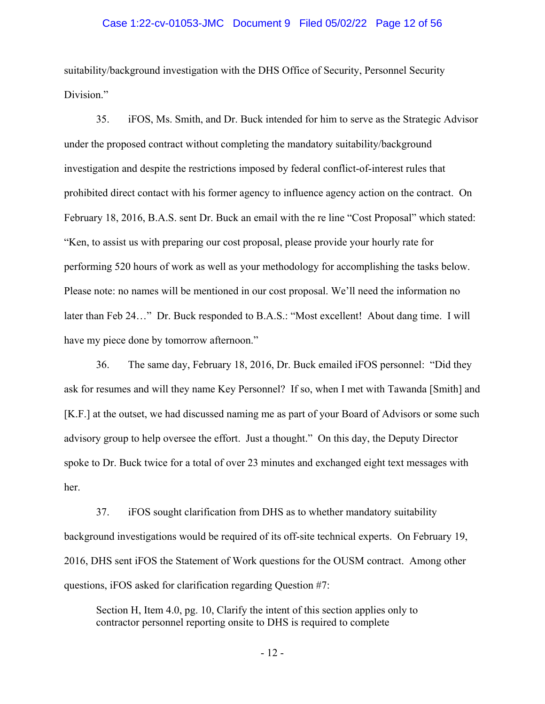## Case 1:22-cv-01053-JMC Document 9 Filed 05/02/22 Page 12 of 56

suitability/background investigation with the DHS Office of Security, Personnel Security Division."

35. iFOS, Ms. Smith, and Dr. Buck intended for him to serve as the Strategic Advisor under the proposed contract without completing the mandatory suitability/background investigation and despite the restrictions imposed by federal conflict-of-interest rules that prohibited direct contact with his former agency to influence agency action on the contract. On February 18, 2016, B.A.S. sent Dr. Buck an email with the re line "Cost Proposal" which stated: "Ken, to assist us with preparing our cost proposal, please provide your hourly rate for performing 520 hours of work as well as your methodology for accomplishing the tasks below. Please note: no names will be mentioned in our cost proposal. We'll need the information no later than Feb 24…" Dr. Buck responded to B.A.S.: "Most excellent! About dang time. I will have my piece done by tomorrow afternoon."

36. The same day, February 18, 2016, Dr. Buck emailed iFOS personnel: "Did they ask for resumes and will they name Key Personnel? If so, when I met with Tawanda [Smith] and [K.F.] at the outset, we had discussed naming me as part of your Board of Advisors or some such advisory group to help oversee the effort. Just a thought." On this day, the Deputy Director spoke to Dr. Buck twice for a total of over 23 minutes and exchanged eight text messages with her.

37. iFOS sought clarification from DHS as to whether mandatory suitability background investigations would be required of its off-site technical experts. On February 19, 2016, DHS sent iFOS the Statement of Work questions for the OUSM contract. Among other questions, iFOS asked for clarification regarding Question #7:

Section H, Item 4.0, pg. 10, Clarify the intent of this section applies only to contractor personnel reporting onsite to DHS is required to complete

- 12 -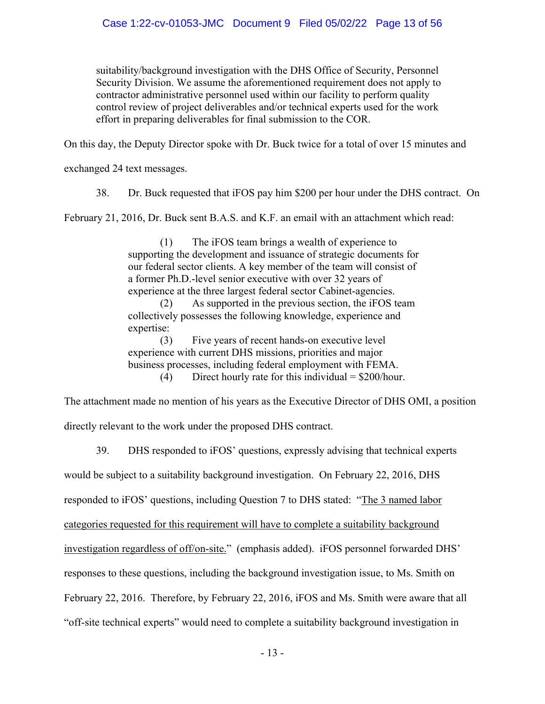suitability/background investigation with the DHS Office of Security, Personnel Security Division. We assume the aforementioned requirement does not apply to contractor administrative personnel used within our facility to perform quality control review of project deliverables and/or technical experts used for the work effort in preparing deliverables for final submission to the COR.

On this day, the Deputy Director spoke with Dr. Buck twice for a total of over 15 minutes and

exchanged 24 text messages.

38. Dr. Buck requested that iFOS pay him \$200 per hour under the DHS contract. On

February 21, 2016, Dr. Buck sent B.A.S. and K.F. an email with an attachment which read:

(1) The iFOS team brings a wealth of experience to supporting the development and issuance of strategic documents for our federal sector clients. A key member of the team will consist of a former Ph.D.-level senior executive with over 32 years of experience at the three largest federal sector Cabinet-agencies. (2) As supported in the previous section, the iFOS team collectively possesses the following knowledge, experience and expertise:

(3) Five years of recent hands-on executive level experience with current DHS missions, priorities and major business processes, including federal employment with FEMA. (4) Direct hourly rate for this individual  $=$  \$200/hour.

The attachment made no mention of his years as the Executive Director of DHS OMI, a position directly relevant to the work under the proposed DHS contract.

39. DHS responded to iFOS' questions, expressly advising that technical experts

would be subject to a suitability background investigation. On February 22, 2016, DHS

responded to iFOS' questions, including Question 7 to DHS stated: "The 3 named labor

categories requested for this requirement will have to complete a suitability background

investigation regardless of off/on-site." (emphasis added). iFOS personnel forwarded DHS'

responses to these questions, including the background investigation issue, to Ms. Smith on

February 22, 2016. Therefore, by February 22, 2016, iFOS and Ms. Smith were aware that all

"off-site technical experts" would need to complete a suitability background investigation in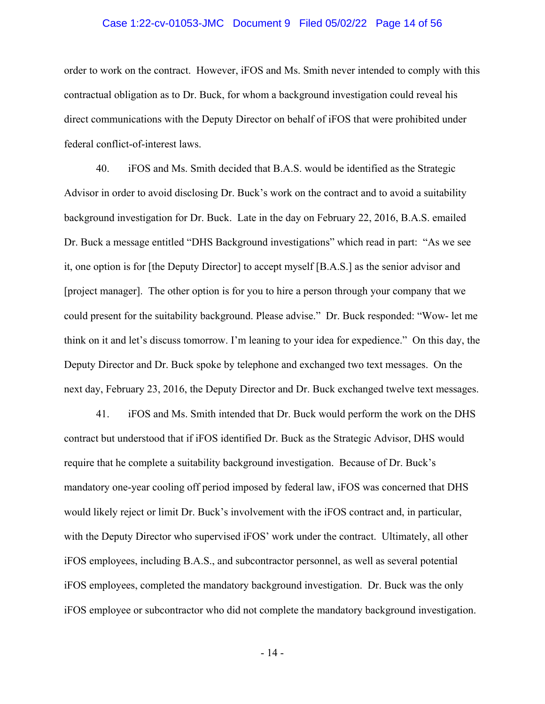## Case 1:22-cv-01053-JMC Document 9 Filed 05/02/22 Page 14 of 56

order to work on the contract. However, iFOS and Ms. Smith never intended to comply with this contractual obligation as to Dr. Buck, for whom a background investigation could reveal his direct communications with the Deputy Director on behalf of iFOS that were prohibited under federal conflict-of-interest laws.

40. iFOS and Ms. Smith decided that B.A.S. would be identified as the Strategic Advisor in order to avoid disclosing Dr. Buck's work on the contract and to avoid a suitability background investigation for Dr. Buck. Late in the day on February 22, 2016, B.A.S. emailed Dr. Buck a message entitled "DHS Background investigations" which read in part: "As we see it, one option is for [the Deputy Director] to accept myself [B.A.S.] as the senior advisor and [project manager]. The other option is for you to hire a person through your company that we could present for the suitability background. Please advise." Dr. Buck responded: "Wow- let me think on it and let's discuss tomorrow. I'm leaning to your idea for expedience." On this day, the Deputy Director and Dr. Buck spoke by telephone and exchanged two text messages. On the next day, February 23, 2016, the Deputy Director and Dr. Buck exchanged twelve text messages.

41. iFOS and Ms. Smith intended that Dr. Buck would perform the work on the DHS contract but understood that if iFOS identified Dr. Buck as the Strategic Advisor, DHS would require that he complete a suitability background investigation. Because of Dr. Buck's mandatory one-year cooling off period imposed by federal law, iFOS was concerned that DHS would likely reject or limit Dr. Buck's involvement with the iFOS contract and, in particular, with the Deputy Director who supervised iFOS' work under the contract. Ultimately, all other iFOS employees, including B.A.S., and subcontractor personnel, as well as several potential iFOS employees, completed the mandatory background investigation. Dr. Buck was the only iFOS employee or subcontractor who did not complete the mandatory background investigation.

- 14 -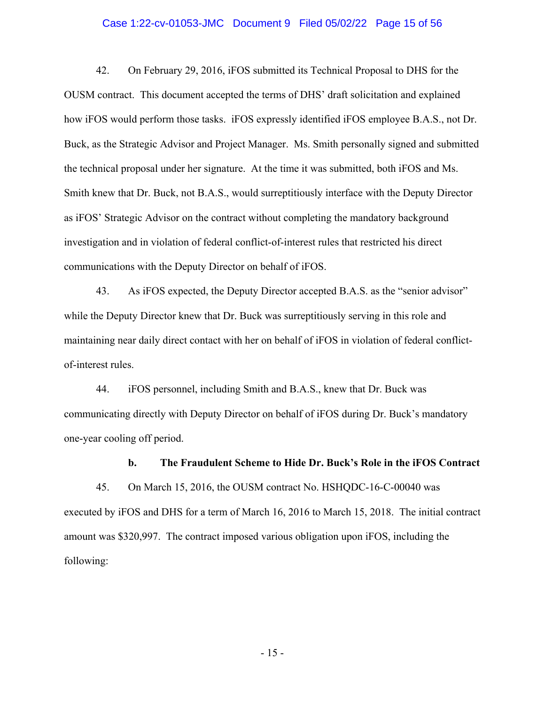## Case 1:22-cv-01053-JMC Document 9 Filed 05/02/22 Page 15 of 56

42. On February 29, 2016, iFOS submitted its Technical Proposal to DHS for the OUSM contract. This document accepted the terms of DHS' draft solicitation and explained how iFOS would perform those tasks. iFOS expressly identified iFOS employee B.A.S., not Dr. Buck, as the Strategic Advisor and Project Manager. Ms. Smith personally signed and submitted the technical proposal under her signature. At the time it was submitted, both iFOS and Ms. Smith knew that Dr. Buck, not B.A.S., would surreptitiously interface with the Deputy Director as iFOS' Strategic Advisor on the contract without completing the mandatory background investigation and in violation of federal conflict-of-interest rules that restricted his direct communications with the Deputy Director on behalf of iFOS.

43. As iFOS expected, the Deputy Director accepted B.A.S. as the "senior advisor" while the Deputy Director knew that Dr. Buck was surreptitiously serving in this role and maintaining near daily direct contact with her on behalf of iFOS in violation of federal conflictof-interest rules.

44. iFOS personnel, including Smith and B.A.S., knew that Dr. Buck was communicating directly with Deputy Director on behalf of iFOS during Dr. Buck's mandatory one-year cooling off period.

#### **b. The Fraudulent Scheme to Hide Dr. Buck's Role in the iFOS Contract**

45. On March 15, 2016, the OUSM contract No. HSHQDC-16-C-00040 was executed by iFOS and DHS for a term of March 16, 2016 to March 15, 2018. The initial contract amount was \$320,997. The contract imposed various obligation upon iFOS, including the following:

- 15 -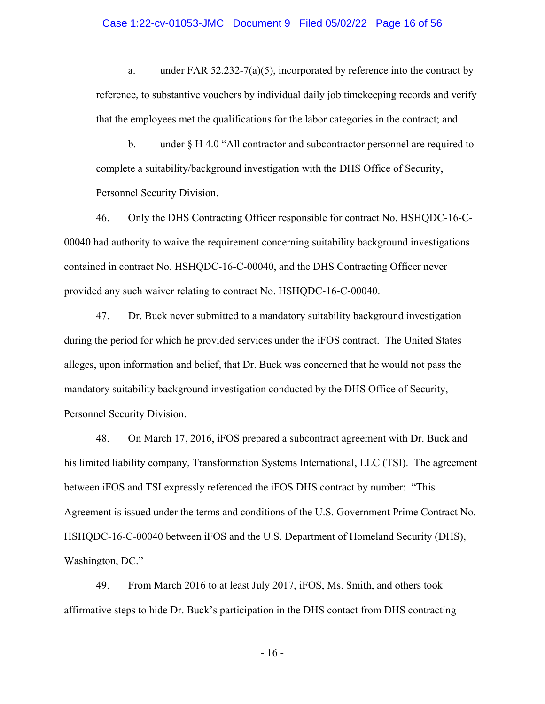## Case 1:22-cv-01053-JMC Document 9 Filed 05/02/22 Page 16 of 56

a. under FAR 52.232-7(a)(5), incorporated by reference into the contract by reference, to substantive vouchers by individual daily job timekeeping records and verify that the employees met the qualifications for the labor categories in the contract; and

b. under § H 4.0 "All contractor and subcontractor personnel are required to complete a suitability/background investigation with the DHS Office of Security, Personnel Security Division.

46. Only the DHS Contracting Officer responsible for contract No. HSHQDC-16-C-00040 had authority to waive the requirement concerning suitability background investigations contained in contract No. HSHQDC-16-C-00040, and the DHS Contracting Officer never provided any such waiver relating to contract No. HSHQDC-16-C-00040.

47. Dr. Buck never submitted to a mandatory suitability background investigation during the period for which he provided services under the iFOS contract. The United States alleges, upon information and belief, that Dr. Buck was concerned that he would not pass the mandatory suitability background investigation conducted by the DHS Office of Security, Personnel Security Division.

48. On March 17, 2016, iFOS prepared a subcontract agreement with Dr. Buck and his limited liability company, Transformation Systems International, LLC (TSI). The agreement between iFOS and TSI expressly referenced the iFOS DHS contract by number: "This Agreement is issued under the terms and conditions of the U.S. Government Prime Contract No. HSHQDC-16-C-00040 between iFOS and the U.S. Department of Homeland Security (DHS), Washington, DC."

49. From March 2016 to at least July 2017, iFOS, Ms. Smith, and others took affirmative steps to hide Dr. Buck's participation in the DHS contact from DHS contracting

- 16 -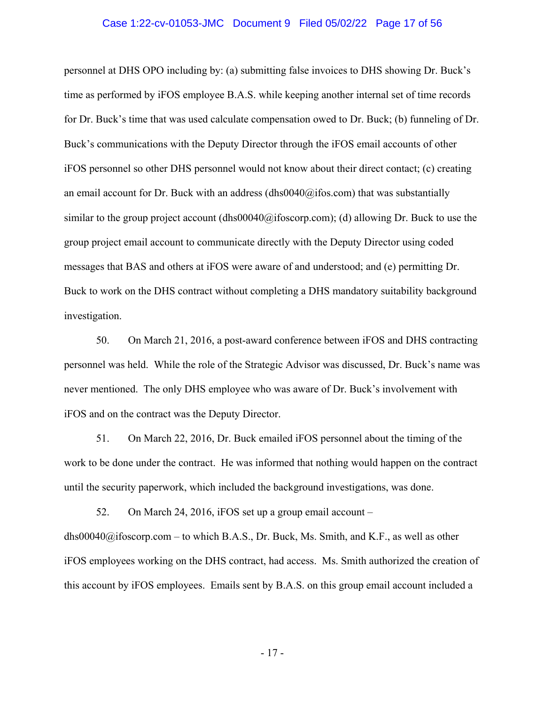## Case 1:22-cv-01053-JMC Document 9 Filed 05/02/22 Page 17 of 56

personnel at DHS OPO including by: (a) submitting false invoices to DHS showing Dr. Buck's time as performed by iFOS employee B.A.S. while keeping another internal set of time records for Dr. Buck's time that was used calculate compensation owed to Dr. Buck; (b) funneling of Dr. Buck's communications with the Deputy Director through the iFOS email accounts of other iFOS personnel so other DHS personnel would not know about their direct contact; (c) creating an email account for Dr. Buck with an address  $(dhso040@ifos.com)$  that was substantially similar to the group project account  $(dhs00040@ijfoscorp.com)$ ; (d) allowing Dr. Buck to use the group project email account to communicate directly with the Deputy Director using coded messages that BAS and others at iFOS were aware of and understood; and (e) permitting Dr. Buck to work on the DHS contract without completing a DHS mandatory suitability background investigation.

50. On March 21, 2016, a post-award conference between iFOS and DHS contracting personnel was held. While the role of the Strategic Advisor was discussed, Dr. Buck's name was never mentioned. The only DHS employee who was aware of Dr. Buck's involvement with iFOS and on the contract was the Deputy Director.

51. On March 22, 2016, Dr. Buck emailed iFOS personnel about the timing of the work to be done under the contract. He was informed that nothing would happen on the contract until the security paperwork, which included the background investigations, was done.

52. On March 24, 2016, iFOS set up a group email account –

[dhs00040@ifoscorp.com](mailto:dhs00040@ifoscorp.com) – to which B.A.S., Dr. Buck, Ms. Smith, and K.F., as well as other iFOS employees working on the DHS contract, had access. Ms. Smith authorized the creation of this account by iFOS employees. Emails sent by B.A.S. on this group email account included a

- 17 -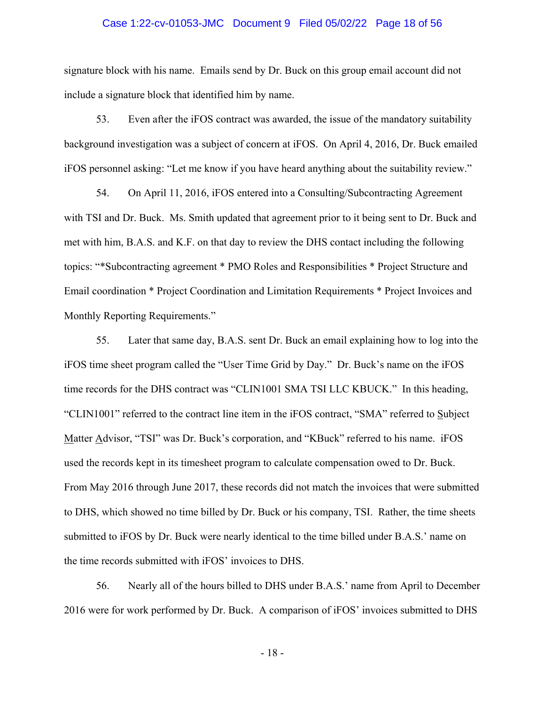## Case 1:22-cv-01053-JMC Document 9 Filed 05/02/22 Page 18 of 56

signature block with his name. Emails send by Dr. Buck on this group email account did not include a signature block that identified him by name.

53. Even after the iFOS contract was awarded, the issue of the mandatory suitability background investigation was a subject of concern at iFOS. On April 4, 2016, Dr. Buck emailed iFOS personnel asking: "Let me know if you have heard anything about the suitability review."

54. On April 11, 2016, iFOS entered into a Consulting/Subcontracting Agreement with TSI and Dr. Buck. Ms. Smith updated that agreement prior to it being sent to Dr. Buck and met with him, B.A.S. and K.F. on that day to review the DHS contact including the following topics: "\*Subcontracting agreement \* PMO Roles and Responsibilities \* Project Structure and Email coordination \* Project Coordination and Limitation Requirements \* Project Invoices and Monthly Reporting Requirements."

55. Later that same day, B.A.S. sent Dr. Buck an email explaining how to log into the iFOS time sheet program called the "User Time Grid by Day." Dr. Buck's name on the iFOS time records for the DHS contract was "CLIN1001 SMA TSI LLC KBUCK." In this heading, "CLIN1001" referred to the contract line item in the iFOS contract, "SMA" referred to Subject Matter Advisor, "TSI" was Dr. Buck's corporation, and "KBuck" referred to his name. iFOS used the records kept in its timesheet program to calculate compensation owed to Dr. Buck. From May 2016 through June 2017, these records did not match the invoices that were submitted to DHS, which showed no time billed by Dr. Buck or his company, TSI. Rather, the time sheets submitted to iFOS by Dr. Buck were nearly identical to the time billed under B.A.S.' name on the time records submitted with iFOS' invoices to DHS.

56. Nearly all of the hours billed to DHS under B.A.S.' name from April to December 2016 were for work performed by Dr. Buck. A comparison of iFOS' invoices submitted to DHS

- 18 -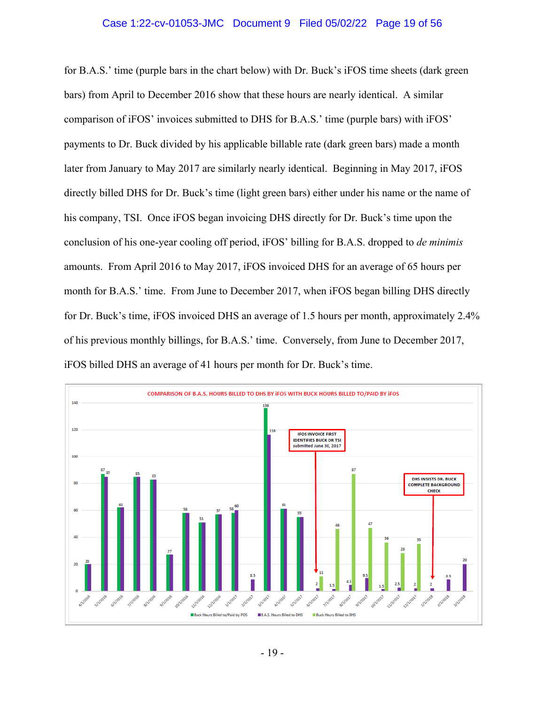## Case 1:22-cv-01053-JMC Document 9 Filed 05/02/22 Page 19 of 56

for B.A.S.' time (purple bars in the chart below) with Dr. Buck's iFOS time sheets (dark green bars) from April to December 2016 show that these hours are nearly identical. A similar comparison of iFOS' invoices submitted to DHS for B.A.S.' time (purple bars) with iFOS' payments to Dr. Buck divided by his applicable billable rate (dark green bars) made a month later from January to May 2017 are similarly nearly identical. Beginning in May 2017, iFOS directly billed DHS for Dr. Buck's time (light green bars) either under his name or the name of his company, TSI. Once iFOS began invoicing DHS directly for Dr. Buck's time upon the conclusion of his one-year cooling off period, iFOS' billing for B.A.S. dropped to *de minimis*  amounts. From April 2016 to May 2017, iFOS invoiced DHS for an average of 65 hours per month for B.A.S.' time. From June to December 2017, when iFOS began billing DHS directly for Dr. Buck's time, iFOS invoiced DHS an average of 1.5 hours per month, approximately 2.4% of his previous monthly billings, for B.A.S.' time. Conversely, from June to December 2017, iFOS billed DHS an average of 41 hours per month for Dr. Buck's time.

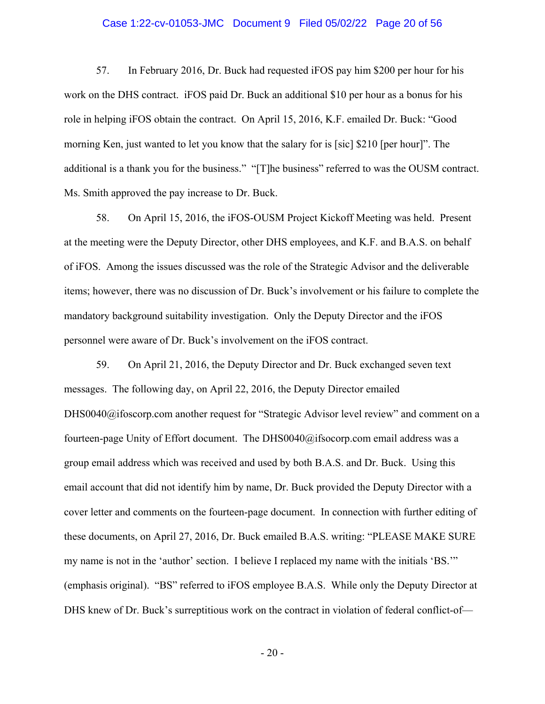## Case 1:22-cv-01053-JMC Document 9 Filed 05/02/22 Page 20 of 56

57. In February 2016, Dr. Buck had requested iFOS pay him \$200 per hour for his work on the DHS contract. iFOS paid Dr. Buck an additional \$10 per hour as a bonus for his role in helping iFOS obtain the contract. On April 15, 2016, K.F. emailed Dr. Buck: "Good morning Ken, just wanted to let you know that the salary for is [sic] \$210 [per hour]". The additional is a thank you for the business." "[T]he business" referred to was the OUSM contract. Ms. Smith approved the pay increase to Dr. Buck.

58. On April 15, 2016, the iFOS-OUSM Project Kickoff Meeting was held. Present at the meeting were the Deputy Director, other DHS employees, and K.F. and B.A.S. on behalf of iFOS. Among the issues discussed was the role of the Strategic Advisor and the deliverable items; however, there was no discussion of Dr. Buck's involvement or his failure to complete the mandatory background suitability investigation. Only the Deputy Director and the iFOS personnel were aware of Dr. Buck's involvement on the iFOS contract.

59. On April 21, 2016, the Deputy Director and Dr. Buck exchanged seven text messages. The following day, on April 22, 2016, the Deputy Director emailed [DHS0040@ifoscorp.com](mailto:DHS0040@ifoscorp.com) another request for "Strategic Advisor level review" and comment on a fourteen-page Unity of Effort document. The [DHS0040@ifsocorp.com](mailto:DHS0040@ifsocorp.com) email address was a group email address which was received and used by both B.A.S. and Dr. Buck. Using this email account that did not identify him by name, Dr. Buck provided the Deputy Director with a cover letter and comments on the fourteen-page document. In connection with further editing of these documents, on April 27, 2016, Dr. Buck emailed B.A.S. writing: "PLEASE MAKE SURE my name is not in the 'author' section. I believe I replaced my name with the initials 'BS.'" (emphasis original). "BS" referred to iFOS employee B.A.S. While only the Deputy Director at DHS knew of Dr. Buck's surreptitious work on the contract in violation of federal conflict-of—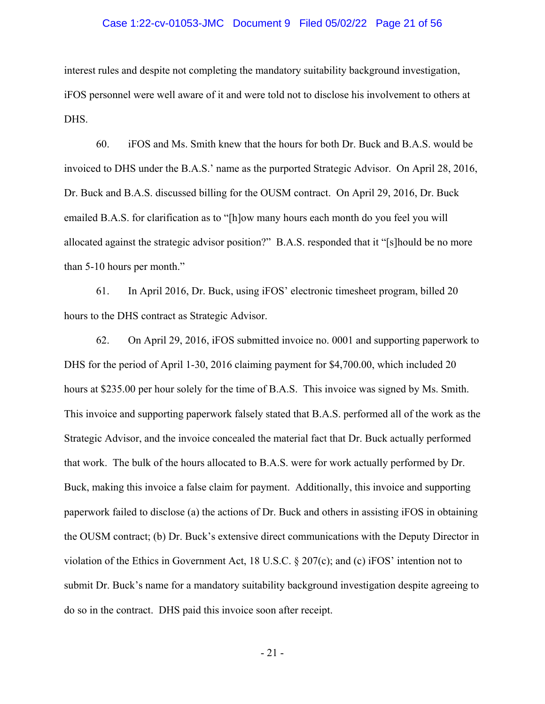## Case 1:22-cv-01053-JMC Document 9 Filed 05/02/22 Page 21 of 56

interest rules and despite not completing the mandatory suitability background investigation, iFOS personnel were well aware of it and were told not to disclose his involvement to others at DHS.

60. iFOS and Ms. Smith knew that the hours for both Dr. Buck and B.A.S. would be invoiced to DHS under the B.A.S.' name as the purported Strategic Advisor. On April 28, 2016, Dr. Buck and B.A.S. discussed billing for the OUSM contract. On April 29, 2016, Dr. Buck emailed B.A.S. for clarification as to "[h]ow many hours each month do you feel you will allocated against the strategic advisor position?" B.A.S. responded that it "[s]hould be no more than 5-10 hours per month."

61. In April 2016, Dr. Buck, using iFOS' electronic timesheet program, billed 20 hours to the DHS contract as Strategic Advisor.

62. On April 29, 2016, iFOS submitted invoice no. 0001 and supporting paperwork to DHS for the period of April 1-30, 2016 claiming payment for \$[4,700.00,](https://4,700.00) which included 20 hours at \$235.00 per hour solely for the time of B.A.S. This invoice was signed by Ms. Smith. This invoice and supporting paperwork falsely stated that B.A.S. performed all of the work as the Strategic Advisor, and the invoice concealed the material fact that Dr. Buck actually performed that work. The bulk of the hours allocated to B.A.S. were for work actually performed by Dr. Buck, making this invoice a false claim for payment. Additionally, this invoice and supporting paperwork failed to disclose (a) the actions of Dr. Buck and others in assisting iFOS in obtaining the OUSM contract; (b) Dr. Buck's extensive direct communications with the Deputy Director in violation of the Ethics in Government Act, 18 U.S.C. § 207(c); and (c) iFOS' intention not to submit Dr. Buck's name for a mandatory suitability background investigation despite agreeing to do so in the contract. DHS paid this invoice soon after receipt.

- 21 -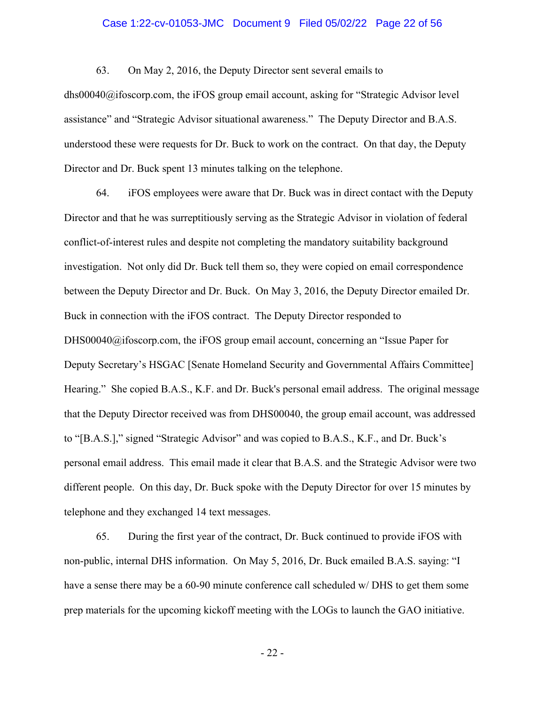## Case 1:22-cv-01053-JMC Document 9 Filed 05/02/22 Page 22 of 56

63. On May 2, 2016, the Deputy Director sent several emails to

[dhs00040@ifoscorp.com,](mailto:dhs00040@ifoscorp.com) the iFOS group email account, asking for "Strategic Advisor level assistance" and "Strategic Advisor situational awareness." The Deputy Director and B.A.S. understood these were requests for Dr. Buck to work on the contract. On that day, the Deputy Director and Dr. Buck spent 13 minutes talking on the telephone.

64. iFOS employees were aware that Dr. Buck was in direct contact with the Deputy Director and that he was surreptitiously serving as the Strategic Advisor in violation of federal conflict-of-interest rules and despite not completing the mandatory suitability background investigation. Not only did Dr. Buck tell them so, they were copied on email correspondence between the Deputy Director and Dr. Buck. On May 3, 2016, the Deputy Director emailed Dr. Buck in connection with the iFOS contract. The Deputy Director responded to [DHS00040@ifoscorp.com](mailto:DHS00040@ifoscorp.com), the iFOS group email account, concerning an "Issue Paper for Deputy Secretary's HSGAC [Senate Homeland Security and Governmental Affairs Committee] Hearing." She copied B.A.S., K.F. and Dr. Buck's personal email address. The original message that the Deputy Director received was from DHS00040, the group email account, was addressed to "[B.A.S.]," signed "Strategic Advisor" and was copied to B.A.S., K.F., and Dr. Buck's personal email address. This email made it clear that B.A.S. and the Strategic Advisor were two different people. On this day, Dr. Buck spoke with the Deputy Director for over 15 minutes by telephone and they exchanged 14 text messages.

65. During the first year of the contract, Dr. Buck continued to provide iFOS with non-public, internal DHS information. On May 5, 2016, Dr. Buck emailed B.A.S. saying: "I have a sense there may be a 60-90 minute conference call scheduled w/ DHS to get them some prep materials for the upcoming kickoff meeting with the LOGs to launch the GAO initiative.

- 22 -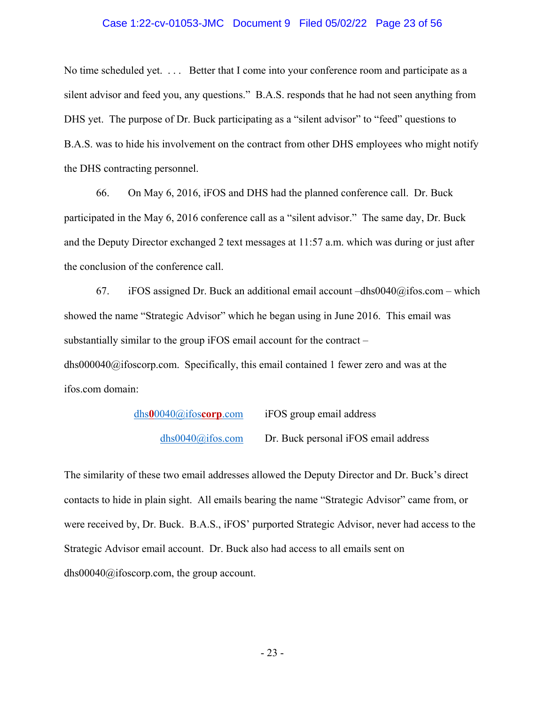## Case 1:22-cv-01053-JMC Document 9 Filed 05/02/22 Page 23 of 56

No time scheduled yet. ... Better that I come into your conference room and participate as a silent advisor and feed you, any questions." B.A.S. responds that he had not seen anything from DHS yet. The purpose of Dr. Buck participating as a "silent advisor" to "feed" questions to B.A.S. was to hide his involvement on the contract from other DHS employees who might notify the DHS contracting personnel.

66. On May 6, 2016, iFOS and DHS had the planned conference call. Dr. Buck participated in the May 6, 2016 conference call as a "silent advisor." The same day, Dr. Buck and the Deputy Director exchanged 2 text messages at 11:57 a.m. which was during or just after the conclusion of the conference call.

67. iFOS assigned Dr. Buck an additional email account  $-dhs0040$ @ifos.com – which showed the name "Strategic Advisor" which he began using in June 2016. This email was substantially similar to the group iFOS email account for the contract – [dhs000040@ifoscorp.com.](mailto:dhs000040@ifoscorp.com) Specifically, this email contained 1 fewer zero and was at the [ifos.com](https://ifos.com) domain:

> dhs**0**[0040@ifos](mailto:dhs00040@ifoscorp.com)**corp**.com iFOS group email address [dhs0040@ifos.com](mailto:dhs0040@ifos.com) Dr. Buck personal iFOS email address

The similarity of these two email addresses allowed the Deputy Director and Dr. Buck's direct contacts to hide in plain sight. All emails bearing the name "Strategic Advisor" came from, or were received by, Dr. Buck. B.A.S., iFOS' purported Strategic Advisor, never had access to the Strategic Advisor email account. Dr. Buck also had access to all emails sent on [dhs00040@ifoscorp.com,](mailto:dhs00040@ifoscorp.com) the group account.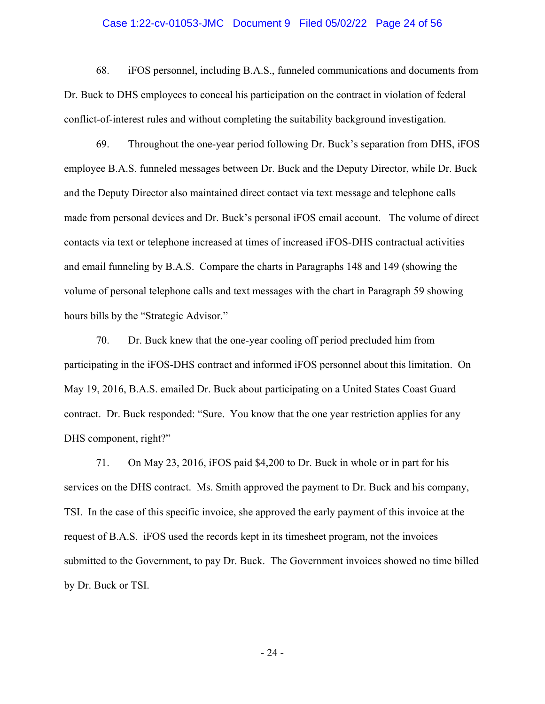## Case 1:22-cv-01053-JMC Document 9 Filed 05/02/22 Page 24 of 56

68. iFOS personnel, including B.A.S., funneled communications and documents from Dr. Buck to DHS employees to conceal his participation on the contract in violation of federal conflict-of-interest rules and without completing the suitability background investigation.

69. Throughout the one-year period following Dr. Buck's separation from DHS, iFOS employee B.A.S. funneled messages between Dr. Buck and the Deputy Director, while Dr. Buck and the Deputy Director also maintained direct contact via text message and telephone calls made from personal devices and Dr. Buck's personal iFOS email account. The volume of direct contacts via text or telephone increased at times of increased iFOS-DHS contractual activities and email funneling by B.A.S. Compare the charts in Paragraphs 148 and 149 (showing the volume of personal telephone calls and text messages with the chart in Paragraph 59 showing hours bills by the "Strategic Advisor."

70. Dr. Buck knew that the one-year cooling off period precluded him from participating in the iFOS-DHS contract and informed iFOS personnel about this limitation. On May 19, 2016, B.A.S. emailed Dr. Buck about participating on a United States Coast Guard contract. Dr. Buck responded: "Sure. You know that the one year restriction applies for any DHS component, right?"

71. On May 23, 2016, iFOS paid \$4,200 to Dr. Buck in whole or in part for his services on the DHS contract. Ms. Smith approved the payment to Dr. Buck and his company, TSI. In the case of this specific invoice, she approved the early payment of this invoice at the request of B.A.S. iFOS used the records kept in its timesheet program, not the invoices submitted to the Government, to pay Dr. Buck. The Government invoices showed no time billed by Dr. Buck or TSI.

- 24 -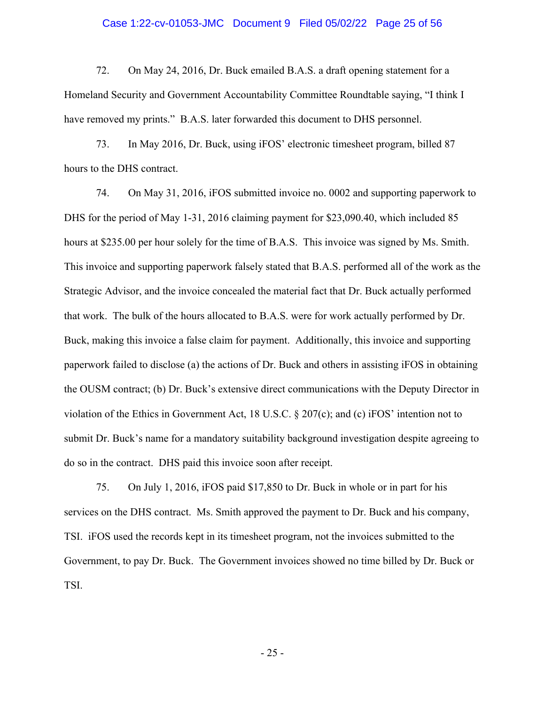## Case 1:22-cv-01053-JMC Document 9 Filed 05/02/22 Page 25 of 56

72. On May 24, 2016, Dr. Buck emailed B.A.S. a draft opening statement for a Homeland Security and Government Accountability Committee Roundtable saying, "I think I have removed my prints." B.A.S. later forwarded this document to DHS personnel.

73. In May 2016, Dr. Buck, using iFOS' electronic timesheet program, billed 87 hours to the DHS contract.

74. On May 31, 2016, iFOS submitted invoice no. 0002 and supporting paperwork to DHS for the period of May 1-31, 2016 claiming payment for \$[23,090.40,](https://23,090.40) which included 85 hours at \$235.00 per hour solely for the time of B.A.S. This invoice was signed by Ms. Smith. This invoice and supporting paperwork falsely stated that B.A.S. performed all of the work as the Strategic Advisor, and the invoice concealed the material fact that Dr. Buck actually performed that work. The bulk of the hours allocated to B.A.S. were for work actually performed by Dr. Buck, making this invoice a false claim for payment. Additionally, this invoice and supporting paperwork failed to disclose (a) the actions of Dr. Buck and others in assisting iFOS in obtaining the OUSM contract; (b) Dr. Buck's extensive direct communications with the Deputy Director in violation of the Ethics in Government Act, 18 U.S.C. § 207(c); and (c) iFOS' intention not to submit Dr. Buck's name for a mandatory suitability background investigation despite agreeing to do so in the contract. DHS paid this invoice soon after receipt.

75. On July 1, 2016, iFOS paid \$17,850 to Dr. Buck in whole or in part for his services on the DHS contract. Ms. Smith approved the payment to Dr. Buck and his company, TSI. iFOS used the records kept in its timesheet program, not the invoices submitted to the Government, to pay Dr. Buck. The Government invoices showed no time billed by Dr. Buck or TSI.

- 25 -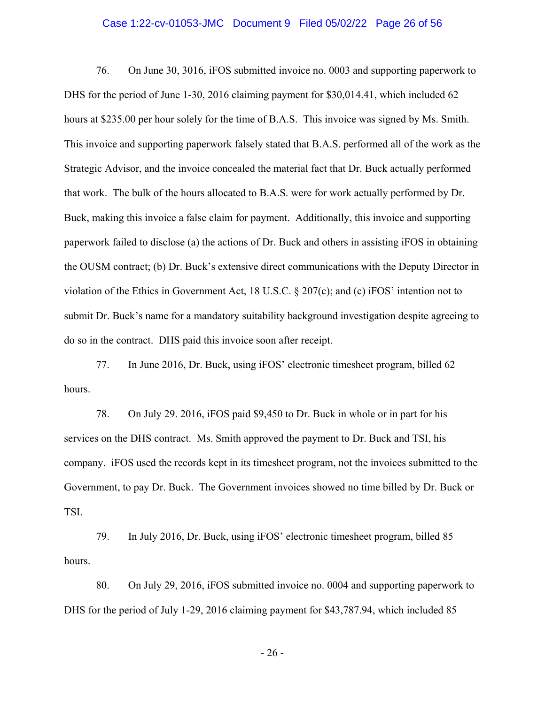## Case 1:22-cv-01053-JMC Document 9 Filed 05/02/22 Page 26 of 56

76. On June 30, 3016, iFOS submitted invoice no. 0003 and supporting paperwork to DHS for the period of June 1-30, 2016 claiming payment for \$[30,014.41,](https://30,014.41) which included 62 hours at \$235.00 per hour solely for the time of B.A.S. This invoice was signed by Ms. Smith. This invoice and supporting paperwork falsely stated that B.A.S. performed all of the work as the Strategic Advisor, and the invoice concealed the material fact that Dr. Buck actually performed that work. The bulk of the hours allocated to B.A.S. were for work actually performed by Dr. Buck, making this invoice a false claim for payment. Additionally, this invoice and supporting paperwork failed to disclose (a) the actions of Dr. Buck and others in assisting iFOS in obtaining the OUSM contract; (b) Dr. Buck's extensive direct communications with the Deputy Director in violation of the Ethics in Government Act, 18 U.S.C. § 207(c); and (c) iFOS' intention not to submit Dr. Buck's name for a mandatory suitability background investigation despite agreeing to do so in the contract. DHS paid this invoice soon after receipt.

77. In June 2016, Dr. Buck, using iFOS' electronic timesheet program, billed 62 hours.

78. On July 29. 2016, iFOS paid \$9,450 to Dr. Buck in whole or in part for his services on the DHS contract. Ms. Smith approved the payment to Dr. Buck and TSI, his company. iFOS used the records kept in its timesheet program, not the invoices submitted to the Government, to pay Dr. Buck. The Government invoices showed no time billed by Dr. Buck or TSI.

79. In July 2016, Dr. Buck, using iFOS' electronic timesheet program, billed 85 hours.

80. On July 29, 2016, iFOS submitted invoice no. 0004 and supporting paperwork to DHS for the period of July 1-29, 2016 claiming payment for \$[43,787.94,](https://43,787.94) which included 85

- 26 -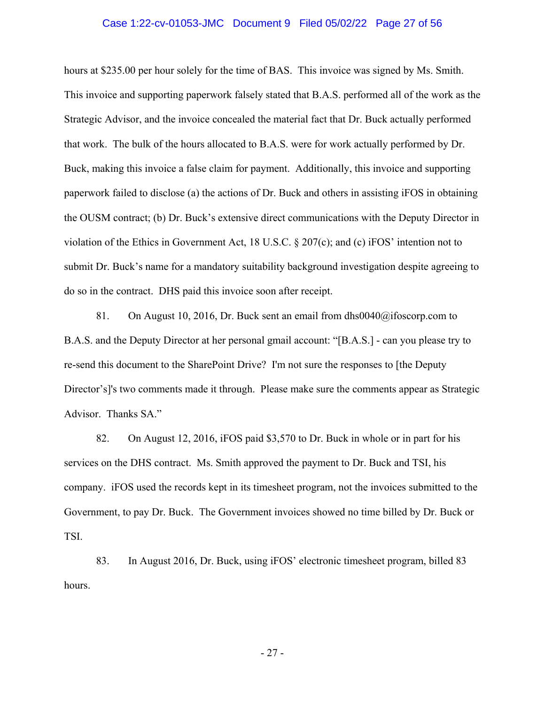## Case 1:22-cv-01053-JMC Document 9 Filed 05/02/22 Page 27 of 56

hours at \$235.00 per hour solely for the time of BAS. This invoice was signed by Ms. Smith. This invoice and supporting paperwork falsely stated that B.A.S. performed all of the work as the Strategic Advisor, and the invoice concealed the material fact that Dr. Buck actually performed that work. The bulk of the hours allocated to B.A.S. were for work actually performed by Dr. Buck, making this invoice a false claim for payment. Additionally, this invoice and supporting paperwork failed to disclose (a) the actions of Dr. Buck and others in assisting iFOS in obtaining the OUSM contract; (b) Dr. Buck's extensive direct communications with the Deputy Director in violation of the Ethics in Government Act, 18 U.S.C. § 207(c); and (c) iFOS' intention not to submit Dr. Buck's name for a mandatory suitability background investigation despite agreeing to do so in the contract. DHS paid this invoice soon after receipt.

81. On August 10, 2016, Dr. Buck sent an email from [dhs0040@ifoscorp.com](mailto:dhs0040@ifoscorp.com) to B.A.S. and the Deputy Director at her personal gmail account: "[B.A.S.] - can you please try to re-send this document to the SharePoint Drive? I'm not sure the responses to [the Deputy Director's]'s two comments made it through. Please make sure the comments appear as Strategic Advisor. Thanks SA."

82. On August 12, 2016, iFOS paid \$3,570 to Dr. Buck in whole or in part for his services on the DHS contract. Ms. Smith approved the payment to Dr. Buck and TSI, his company. iFOS used the records kept in its timesheet program, not the invoices submitted to the Government, to pay Dr. Buck. The Government invoices showed no time billed by Dr. Buck or TSI.

83. In August 2016, Dr. Buck, using iFOS' electronic timesheet program, billed 83 hours.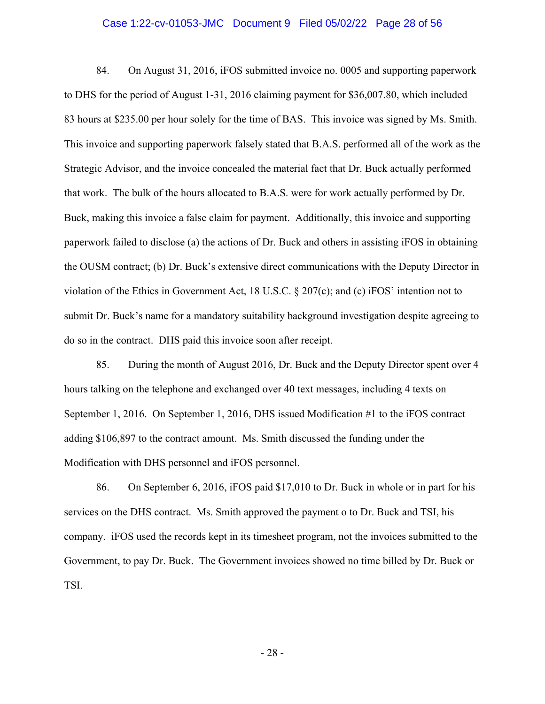## Case 1:22-cv-01053-JMC Document 9 Filed 05/02/22 Page 28 of 56

84. On August 31, 2016, iFOS submitted invoice no. 0005 and supporting paperwork to DHS for the period of August 1-31, 2016 claiming payment for \$[36,007.80,](https://36,007.80) which included 83 hours at \$235.00 per hour solely for the time of BAS. This invoice was signed by Ms. Smith. This invoice and supporting paperwork falsely stated that B.A.S. performed all of the work as the Strategic Advisor, and the invoice concealed the material fact that Dr. Buck actually performed that work. The bulk of the hours allocated to B.A.S. were for work actually performed by Dr. Buck, making this invoice a false claim for payment. Additionally, this invoice and supporting paperwork failed to disclose (a) the actions of Dr. Buck and others in assisting iFOS in obtaining the OUSM contract; (b) Dr. Buck's extensive direct communications with the Deputy Director in violation of the Ethics in Government Act, 18 U.S.C.  $\S 207(c)$ ; and (c) iFOS' intention not to submit Dr. Buck's name for a mandatory suitability background investigation despite agreeing to do so in the contract. DHS paid this invoice soon after receipt.

85. During the month of August 2016, Dr. Buck and the Deputy Director spent over 4 hours talking on the telephone and exchanged over 40 text messages, including 4 texts on September 1, 2016. On September 1, 2016, DHS issued Modification #1 to the iFOS contract adding \$106,897 to the contract amount. Ms. Smith discussed the funding under the Modification with DHS personnel and iFOS personnel.

86. On September 6, 2016, iFOS paid \$17,010 to Dr. Buck in whole or in part for his services on the DHS contract. Ms. Smith approved the payment o to Dr. Buck and TSI, his company. iFOS used the records kept in its timesheet program, not the invoices submitted to the Government, to pay Dr. Buck. The Government invoices showed no time billed by Dr. Buck or TSI.

- 28 -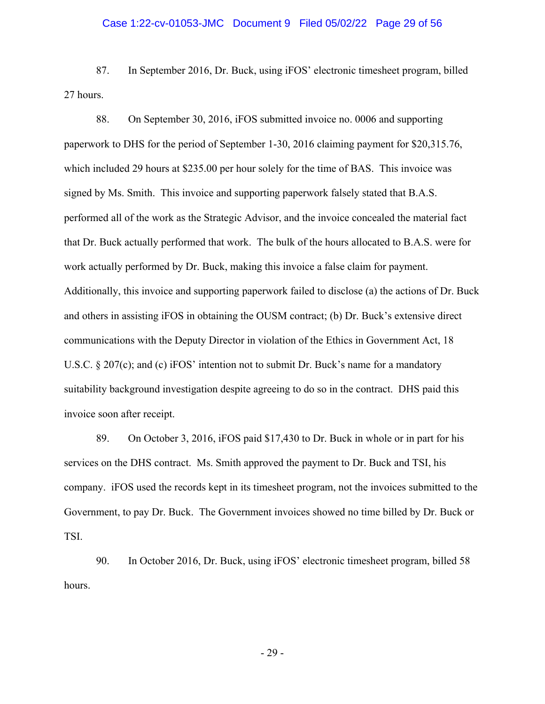## Case 1:22-cv-01053-JMC Document 9 Filed 05/02/22 Page 29 of 56

87. In September 2016, Dr. Buck, using iFOS' electronic timesheet program, billed 27 hours.

88. On September 30, 2016, iFOS submitted invoice no. 0006 and supporting paperwork to DHS for the period of September 1-30, 2016 claiming payment for [\\$20,315.76,](https://20,315.76) which included 29 hours at \$235.00 per hour solely for the time of BAS. This invoice was signed by Ms. Smith. This invoice and supporting paperwork falsely stated that B.A.S. performed all of the work as the Strategic Advisor, and the invoice concealed the material fact that Dr. Buck actually performed that work. The bulk of the hours allocated to B.A.S. were for work actually performed by Dr. Buck, making this invoice a false claim for payment. Additionally, this invoice and supporting paperwork failed to disclose (a) the actions of Dr. Buck and others in assisting iFOS in obtaining the OUSM contract; (b) Dr. Buck's extensive direct communications with the Deputy Director in violation of the Ethics in Government Act, 18 U.S.C. § 207(c); and (c) iFOS' intention not to submit Dr. Buck's name for a mandatory suitability background investigation despite agreeing to do so in the contract. DHS paid this invoice soon after receipt.

89. On October 3, 2016, iFOS paid \$17,430 to Dr. Buck in whole or in part for his services on the DHS contract. Ms. Smith approved the payment to Dr. Buck and TSI, his company. iFOS used the records kept in its timesheet program, not the invoices submitted to the Government, to pay Dr. Buck. The Government invoices showed no time billed by Dr. Buck or TSI.

90. In October 2016, Dr. Buck, using iFOS' electronic timesheet program, billed 58 hours.

- 29 -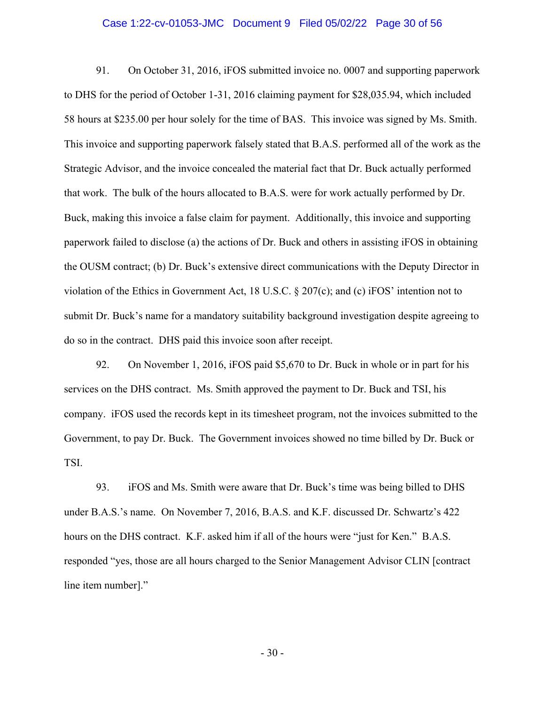## Case 1:22-cv-01053-JMC Document 9 Filed 05/02/22 Page 30 of 56

91. On October 31, 2016, iFOS submitted invoice no. 0007 and supporting paperwork to DHS for the period of October 1-31, 2016 claiming payment for \$[28,035.94,](https://28,035.94) which included 58 hours at \$235.00 per hour solely for the time of BAS. This invoice was signed by Ms. Smith. This invoice and supporting paperwork falsely stated that B.A.S. performed all of the work as the Strategic Advisor, and the invoice concealed the material fact that Dr. Buck actually performed that work. The bulk of the hours allocated to B.A.S. were for work actually performed by Dr. Buck, making this invoice a false claim for payment. Additionally, this invoice and supporting paperwork failed to disclose (a) the actions of Dr. Buck and others in assisting iFOS in obtaining the OUSM contract; (b) Dr. Buck's extensive direct communications with the Deputy Director in violation of the Ethics in Government Act, 18 U.S.C.  $\S 207(c)$ ; and (c) iFOS' intention not to submit Dr. Buck's name for a mandatory suitability background investigation despite agreeing to do so in the contract. DHS paid this invoice soon after receipt.

92. On November 1, 2016, iFOS paid \$5,670 to Dr. Buck in whole or in part for his services on the DHS contract. Ms. Smith approved the payment to Dr. Buck and TSI, his company. iFOS used the records kept in its timesheet program, not the invoices submitted to the Government, to pay Dr. Buck. The Government invoices showed no time billed by Dr. Buck or TSI.

93. iFOS and Ms. Smith were aware that Dr. Buck's time was being billed to DHS under B.A.S.'s name. On November 7, 2016, B.A.S. and K.F. discussed Dr. Schwartz's 422 hours on the DHS contract. K.F. asked him if all of the hours were "just for Ken." B.A.S. responded "yes, those are all hours charged to the Senior Management Advisor CLIN [contract line item number]."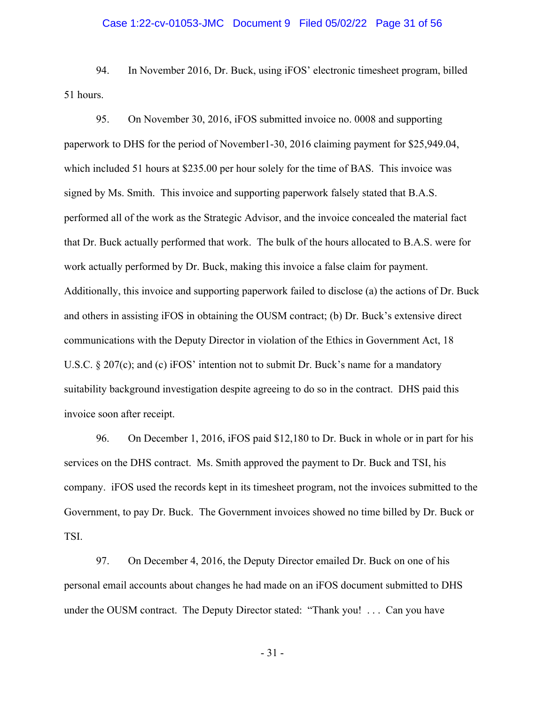## Case 1:22-cv-01053-JMC Document 9 Filed 05/02/22 Page 31 of 56

94. In November 2016, Dr. Buck, using iFOS' electronic timesheet program, billed 51 hours.

95. On November 30, 2016, iFOS submitted invoice no. 0008 and supporting paperwork to DHS for the period of November1-30, 2016 claiming payment for \$[25,949.04,](https://25,949.04) which included 51 hours at \$235.00 per hour solely for the time of BAS. This invoice was signed by Ms. Smith. This invoice and supporting paperwork falsely stated that B.A.S. performed all of the work as the Strategic Advisor, and the invoice concealed the material fact that Dr. Buck actually performed that work. The bulk of the hours allocated to B.A.S. were for work actually performed by Dr. Buck, making this invoice a false claim for payment. Additionally, this invoice and supporting paperwork failed to disclose (a) the actions of Dr. Buck and others in assisting iFOS in obtaining the OUSM contract; (b) Dr. Buck's extensive direct communications with the Deputy Director in violation of the Ethics in Government Act, 18 U.S.C. § 207(c); and (c) iFOS' intention not to submit Dr. Buck's name for a mandatory suitability background investigation despite agreeing to do so in the contract. DHS paid this invoice soon after receipt.

96. On December 1, 2016, iFOS paid \$12,180 to Dr. Buck in whole or in part for his services on the DHS contract. Ms. Smith approved the payment to Dr. Buck and TSI, his company. iFOS used the records kept in its timesheet program, not the invoices submitted to the Government, to pay Dr. Buck. The Government invoices showed no time billed by Dr. Buck or TSI.

97. On December 4, 2016, the Deputy Director emailed Dr. Buck on one of his personal email accounts about changes he had made on an iFOS document submitted to DHS under the OUSM contract. The Deputy Director stated: "Thank you! . . . Can you have

- 31 -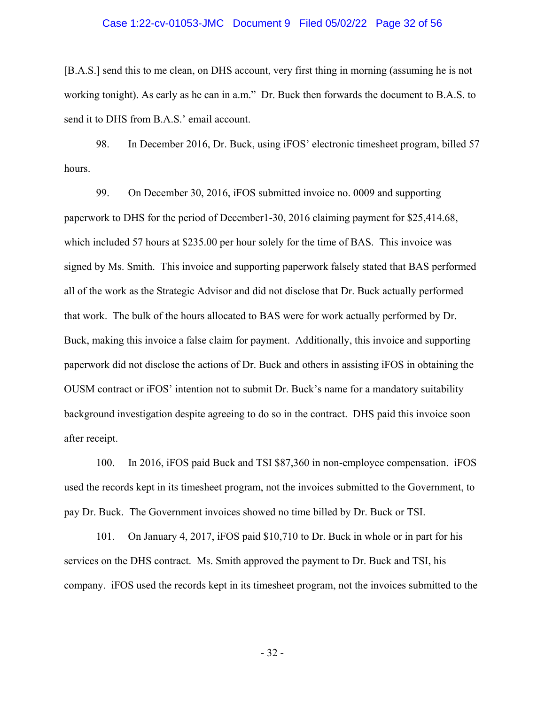## Case 1:22-cv-01053-JMC Document 9 Filed 05/02/22 Page 32 of 56

[B.A.S.] send this to me clean, on DHS account, very first thing in morning (assuming he is not working tonight). As early as he can in a.m." Dr. Buck then forwards the document to B.A.S. to send it to DHS from B.A.S.' email account.

98. In December 2016, Dr. Buck, using iFOS' electronic timesheet program, billed 57 hours.

99. On December 30, 2016, iFOS submitted invoice no. 0009 and supporting paperwork to DHS for the period of December1-30, 2016 claiming payment for \$[25,414.68,](https://25,414.68) which included 57 hours at \$235.00 per hour solely for the time of BAS. This invoice was signed by Ms. Smith. This invoice and supporting paperwork falsely stated that BAS performed all of the work as the Strategic Advisor and did not disclose that Dr. Buck actually performed that work. The bulk of the hours allocated to BAS were for work actually performed by Dr. Buck, making this invoice a false claim for payment. Additionally, this invoice and supporting paperwork did not disclose the actions of Dr. Buck and others in assisting iFOS in obtaining the OUSM contract or iFOS' intention not to submit Dr. Buck's name for a mandatory suitability background investigation despite agreeing to do so in the contract. DHS paid this invoice soon after receipt.

100. In 2016, iFOS paid Buck and TSI \$87,360 in non-employee compensation. iFOS used the records kept in its timesheet program, not the invoices submitted to the Government, to pay Dr. Buck. The Government invoices showed no time billed by Dr. Buck or TSI.

101. On January 4, 2017, iFOS paid \$10,710 to Dr. Buck in whole or in part for his services on the DHS contract. Ms. Smith approved the payment to Dr. Buck and TSI, his company. iFOS used the records kept in its timesheet program, not the invoices submitted to the

- 32 -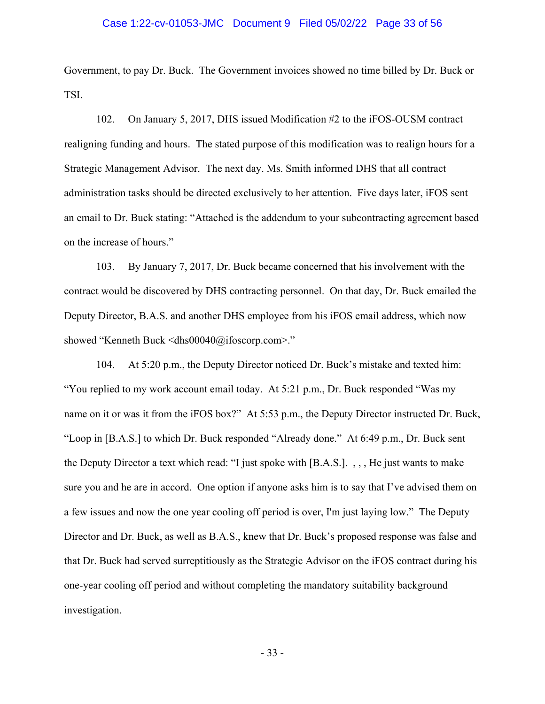## Case 1:22-cv-01053-JMC Document 9 Filed 05/02/22 Page 33 of 56

Government, to pay Dr. Buck. The Government invoices showed no time billed by Dr. Buck or TSI.

102. On January 5, 2017, DHS issued Modification #2 to the iFOS-OUSM contract realigning funding and hours. The stated purpose of this modification was to realign hours for a Strategic Management Advisor. The next day. Ms. Smith informed DHS that all contract administration tasks should be directed exclusively to her attention. Five days later, iFOS sent an email to Dr. Buck stating: "Attached is the addendum to your subcontracting agreement based on the increase of hours."

103. By January 7, 2017, Dr. Buck became concerned that his involvement with the contract would be discovered by DHS contracting personnel. On that day, Dr. Buck emailed the Deputy Director, B.A.S. and another DHS employee from his iFOS email address, which now showed "Kenneth Buck <[dhs00040@ifoscorp.com](mailto:dhs00040@ifoscorp.com)>."

104. At 5:20 p.m., the Deputy Director noticed Dr. Buck's mistake and texted him: "You replied to my work account email today. At 5:21 p.m., Dr. Buck responded "Was my name on it or was it from the iFOS box?" At 5:53 p.m., the Deputy Director instructed Dr. Buck, "Loop in [B.A.S.] to which Dr. Buck responded "Already done." At 6:49 p.m., Dr. Buck sent the Deputy Director a text which read: "I just spoke with [B.A.S.]. , , , He just wants to make sure you and he are in accord. One option if anyone asks him is to say that I've advised them on a few issues and now the one year cooling off period is over, I'm just laying low." The Deputy Director and Dr. Buck, as well as B.A.S., knew that Dr. Buck's proposed response was false and that Dr. Buck had served surreptitiously as the Strategic Advisor on the iFOS contract during his one-year cooling off period and without completing the mandatory suitability background investigation.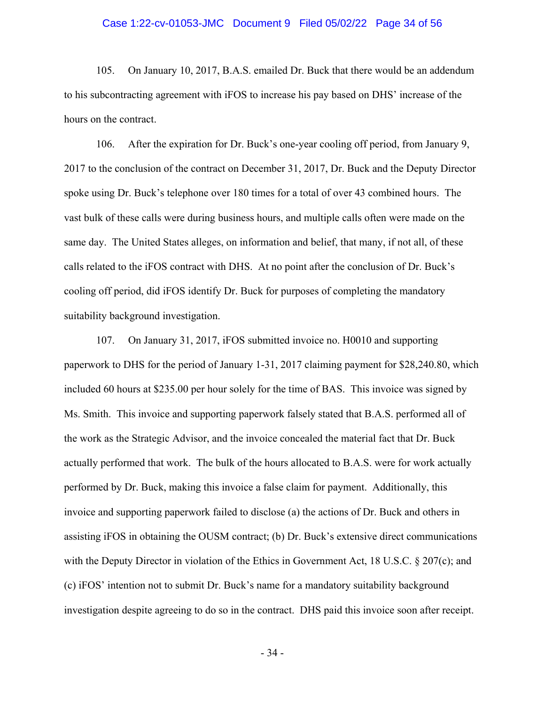## Case 1:22-cv-01053-JMC Document 9 Filed 05/02/22 Page 34 of 56

105. On January 10, 2017, B.A.S. emailed Dr. Buck that there would be an addendum to his subcontracting agreement with iFOS to increase his pay based on DHS' increase of the hours on the contract.

106. After the expiration for Dr. Buck's one-year cooling off period, from January 9, 2017 to the conclusion of the contract on December 31, 2017, Dr. Buck and the Deputy Director spoke using Dr. Buck's telephone over 180 times for a total of over 43 combined hours. The vast bulk of these calls were during business hours, and multiple calls often were made on the same day. The United States alleges, on information and belief, that many, if not all, of these calls related to the iFOS contract with DHS. At no point after the conclusion of Dr. Buck's cooling off period, did iFOS identify Dr. Buck for purposes of completing the mandatory suitability background investigation.

107. On January 31, 2017, iFOS submitted invoice no. H0010 and supporting paperwork to DHS for the period of January 1-31, 2017 claiming payment for \$[28,240.80,](https://28,240.80) which included 60 hours at \$235.00 per hour solely for the time of BAS. This invoice was signed by Ms. Smith. This invoice and supporting paperwork falsely stated that B.A.S. performed all of the work as the Strategic Advisor, and the invoice concealed the material fact that Dr. Buck actually performed that work. The bulk of the hours allocated to B.A.S. were for work actually performed by Dr. Buck, making this invoice a false claim for payment. Additionally, this invoice and supporting paperwork failed to disclose (a) the actions of Dr. Buck and others in assisting iFOS in obtaining the OUSM contract; (b) Dr. Buck's extensive direct communications with the Deputy Director in violation of the Ethics in Government Act, 18 U.S.C. § 207(c); and (c) iFOS' intention not to submit Dr. Buck's name for a mandatory suitability background investigation despite agreeing to do so in the contract. DHS paid this invoice soon after receipt.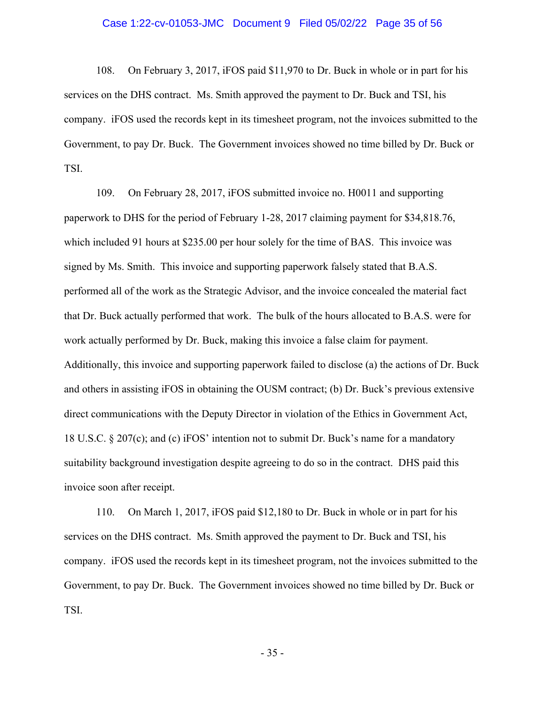## Case 1:22-cv-01053-JMC Document 9 Filed 05/02/22 Page 35 of 56

108. On February 3, 2017, iFOS paid \$11,970 to Dr. Buck in whole or in part for his services on the DHS contract. Ms. Smith approved the payment to Dr. Buck and TSI, his company. iFOS used the records kept in its timesheet program, not the invoices submitted to the Government, to pay Dr. Buck. The Government invoices showed no time billed by Dr. Buck or TSI.

109. On February 28, 2017, iFOS submitted invoice no. H0011 and supporting paperwork to DHS for the period of February 1-28, 2017 claiming payment for \$[34,818.76,](https://34,818.76) which included 91 hours at \$235.00 per hour solely for the time of BAS. This invoice was signed by Ms. Smith. This invoice and supporting paperwork falsely stated that B.A.S. performed all of the work as the Strategic Advisor, and the invoice concealed the material fact that Dr. Buck actually performed that work. The bulk of the hours allocated to B.A.S. were for work actually performed by Dr. Buck, making this invoice a false claim for payment. Additionally, this invoice and supporting paperwork failed to disclose (a) the actions of Dr. Buck and others in assisting iFOS in obtaining the OUSM contract; (b) Dr. Buck's previous extensive direct communications with the Deputy Director in violation of the Ethics in Government Act, 18 U.S.C. § 207(c); and (c) iFOS' intention not to submit Dr. Buck's name for a mandatory suitability background investigation despite agreeing to do so in the contract. DHS paid this invoice soon after receipt.

110. On March 1, 2017, iFOS paid \$12,180 to Dr. Buck in whole or in part for his services on the DHS contract. Ms. Smith approved the payment to Dr. Buck and TSI, his company. iFOS used the records kept in its timesheet program, not the invoices submitted to the Government, to pay Dr. Buck. The Government invoices showed no time billed by Dr. Buck or TSI.

- 35 -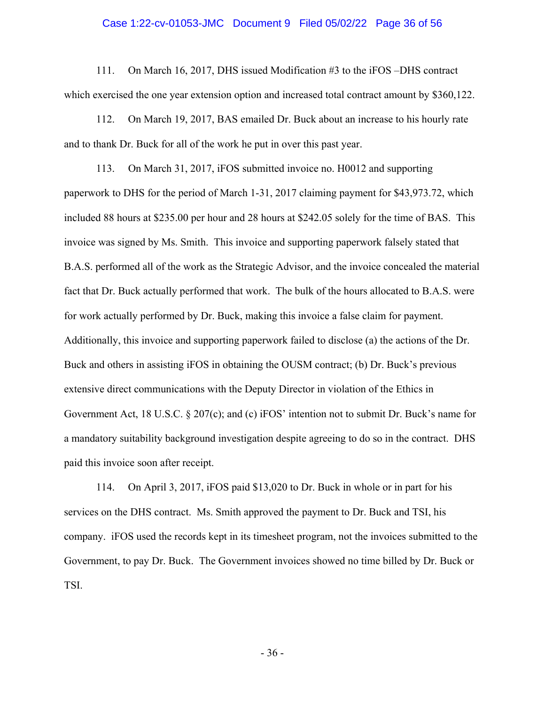## Case 1:22-cv-01053-JMC Document 9 Filed 05/02/22 Page 36 of 56

111. On March 16, 2017, DHS issued Modification #3 to the iFOS –DHS contract which exercised the one year extension option and increased total contract amount by \$360,122.

112. On March 19, 2017, BAS emailed Dr. Buck about an increase to his hourly rate and to thank Dr. Buck for all of the work he put in over this past year.

113. On March 31, 2017, iFOS submitted invoice no. H0012 and supporting paperwork to DHS for the period of March 1-31, 2017 claiming payment for \$[43,973.72,](https://43,973.72) which included 88 hours at \$235.00 per hour and 28 hours at \$242.05 solely for the time of BAS. This invoice was signed by Ms. Smith. This invoice and supporting paperwork falsely stated that B.A.S. performed all of the work as the Strategic Advisor, and the invoice concealed the material fact that Dr. Buck actually performed that work. The bulk of the hours allocated to B.A.S. were for work actually performed by Dr. Buck, making this invoice a false claim for payment. Additionally, this invoice and supporting paperwork failed to disclose (a) the actions of the Dr. Buck and others in assisting iFOS in obtaining the OUSM contract; (b) Dr. Buck's previous extensive direct communications with the Deputy Director in violation of the Ethics in Government Act, 18 U.S.C. § 207(c); and (c) iFOS' intention not to submit Dr. Buck's name for a mandatory suitability background investigation despite agreeing to do so in the contract. DHS paid this invoice soon after receipt.

114. On April 3, 2017, iFOS paid \$13,020 to Dr. Buck in whole or in part for his services on the DHS contract. Ms. Smith approved the payment to Dr. Buck and TSI, his company. iFOS used the records kept in its timesheet program, not the invoices submitted to the Government, to pay Dr. Buck. The Government invoices showed no time billed by Dr. Buck or TSI.

- 36 -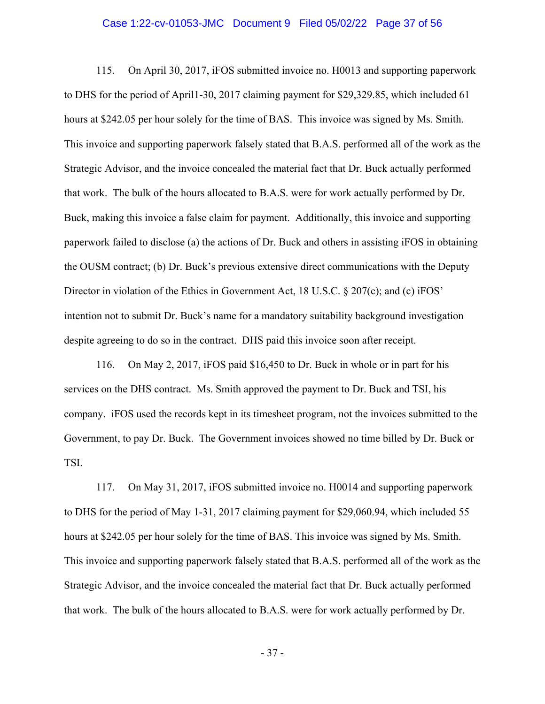## Case 1:22-cv-01053-JMC Document 9 Filed 05/02/22 Page 37 of 56

115. On April 30, 2017, iFOS submitted invoice no. H0013 and supporting paperwork to DHS for the period of April1-30, 2017 claiming payment for [\\$29,329.85](https://29,329.85), which included 61 hours at \$242.05 per hour solely for the time of BAS. This invoice was signed by Ms. Smith. This invoice and supporting paperwork falsely stated that B.A.S. performed all of the work as the Strategic Advisor, and the invoice concealed the material fact that Dr. Buck actually performed that work. The bulk of the hours allocated to B.A.S. were for work actually performed by Dr. Buck, making this invoice a false claim for payment. Additionally, this invoice and supporting paperwork failed to disclose (a) the actions of Dr. Buck and others in assisting iFOS in obtaining the OUSM contract; (b) Dr. Buck's previous extensive direct communications with the Deputy Director in violation of the Ethics in Government Act, 18 U.S.C. § 207(c); and (c) iFOS' intention not to submit Dr. Buck's name for a mandatory suitability background investigation despite agreeing to do so in the contract. DHS paid this invoice soon after receipt.

116. On May 2, 2017, iFOS paid \$16,450 to Dr. Buck in whole or in part for his services on the DHS contract. Ms. Smith approved the payment to Dr. Buck and TSI, his company. iFOS used the records kept in its timesheet program, not the invoices submitted to the Government, to pay Dr. Buck. The Government invoices showed no time billed by Dr. Buck or TSI.

117. On May 31, 2017, iFOS submitted invoice no. H0014 and supporting paperwork to DHS for the period of May 1-31, 2017 claiming payment for \$[29,060.94,](https://29,060.94) which included 55 hours at \$242.05 per hour solely for the time of BAS. This invoice was signed by Ms. Smith. This invoice and supporting paperwork falsely stated that B.A.S. performed all of the work as the Strategic Advisor, and the invoice concealed the material fact that Dr. Buck actually performed that work. The bulk of the hours allocated to B.A.S. were for work actually performed by Dr.

- 37 -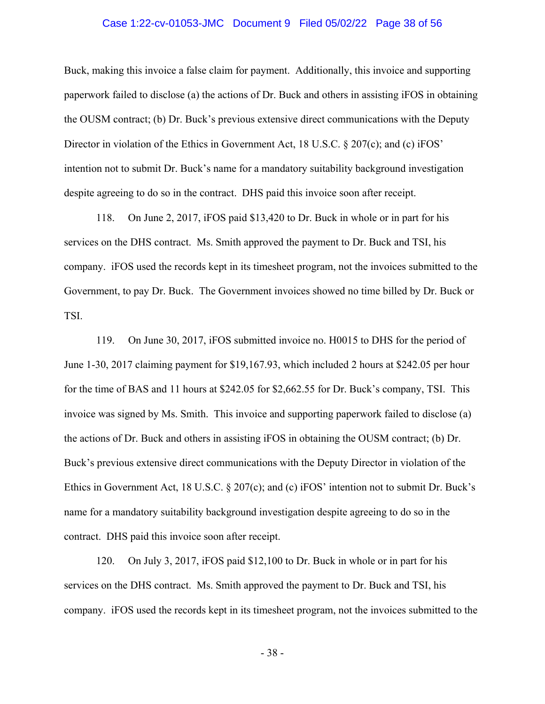## Case 1:22-cv-01053-JMC Document 9 Filed 05/02/22 Page 38 of 56

Buck, making this invoice a false claim for payment. Additionally, this invoice and supporting paperwork failed to disclose (a) the actions of Dr. Buck and others in assisting iFOS in obtaining the OUSM contract; (b) Dr. Buck's previous extensive direct communications with the Deputy Director in violation of the Ethics in Government Act, 18 U.S.C. § 207(c); and (c) iFOS' intention not to submit Dr. Buck's name for a mandatory suitability background investigation despite agreeing to do so in the contract. DHS paid this invoice soon after receipt.

118. On June 2, 2017, iFOS paid \$13,420 to Dr. Buck in whole or in part for his services on the DHS contract. Ms. Smith approved the payment to Dr. Buck and TSI, his company. iFOS used the records kept in its timesheet program, not the invoices submitted to the Government, to pay Dr. Buck. The Government invoices showed no time billed by Dr. Buck or TSI.

119. On June 30, 2017, iFOS submitted invoice no. H0015 to DHS for the period of June 1-30, 2017 claiming payment for [\\$19,167.93](https://19,167.93), which included 2 hours at \$242.05 per hour for the time of BAS and 11 hours at \$242.05 for \$[2,662.55](https://2,662.55) for Dr. Buck's company, TSI. This invoice was signed by Ms. Smith. This invoice and supporting paperwork failed to disclose (a) the actions of Dr. Buck and others in assisting iFOS in obtaining the OUSM contract; (b) Dr. Buck's previous extensive direct communications with the Deputy Director in violation of the Ethics in Government Act, 18 U.S.C. § 207(c); and (c) iFOS' intention not to submit Dr. Buck's name for a mandatory suitability background investigation despite agreeing to do so in the contract. DHS paid this invoice soon after receipt.

120. On July 3, 2017, iFOS paid \$12,100 to Dr. Buck in whole or in part for his services on the DHS contract. Ms. Smith approved the payment to Dr. Buck and TSI, his company. iFOS used the records kept in its timesheet program, not the invoices submitted to the

- 38 -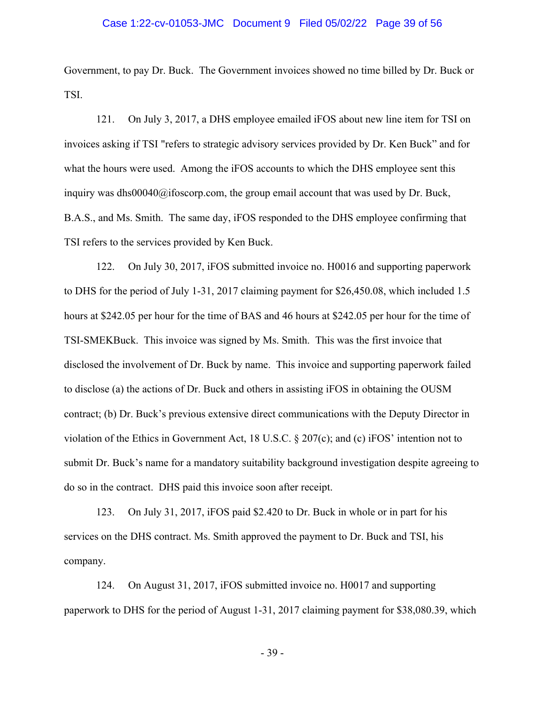## Case 1:22-cv-01053-JMC Document 9 Filed 05/02/22 Page 39 of 56

Government, to pay Dr. Buck. The Government invoices showed no time billed by Dr. Buck or TSI.

121. On July 3, 2017, a DHS employee emailed iFOS about new line item for TSI on invoices asking if TSI "refers to strategic advisory services provided by Dr. Ken Buck" and for what the hours were used. Among the iFOS accounts to which the DHS employee sent this inquiry was [dhs00040@ifoscorp.com](mailto:dhs00040@ifoscorp.com), the group email account that was used by Dr. Buck, B.A.S., and Ms. Smith. The same day, iFOS responded to the DHS employee confirming that TSI refers to the services provided by Ken Buck.

122. On July 30, 2017, iFOS submitted invoice no. H0016 and supporting paperwork to DHS for the period of July 1-31, 2017 claiming payment for \$[26,450.08,](https://26,450.08) which included 1.5 hours at \$242.05 per hour for the time of BAS and 46 hours at \$242.05 per hour for the time of TSI-SMEKBuck. This invoice was signed by Ms. Smith. This was the first invoice that disclosed the involvement of Dr. Buck by name. This invoice and supporting paperwork failed to disclose (a) the actions of Dr. Buck and others in assisting iFOS in obtaining the OUSM contract; (b) Dr. Buck's previous extensive direct communications with the Deputy Director in violation of the Ethics in Government Act, 18 U.S.C.  $\S 207(c)$ ; and (c) iFOS' intention not to submit Dr. Buck's name for a mandatory suitability background investigation despite agreeing to do so in the contract. DHS paid this invoice soon after receipt.

123. On July 31, 2017, iFOS paid \$2.420 to Dr. Buck in whole or in part for his services on the DHS contract. Ms. Smith approved the payment to Dr. Buck and TSI, his company.

124. On August 31, 2017, iFOS submitted invoice no. H0017 and supporting paperwork to DHS for the period of August 1-31, 2017 claiming payment for \$[38,080.39,](https://38,080.39) which

- 39 -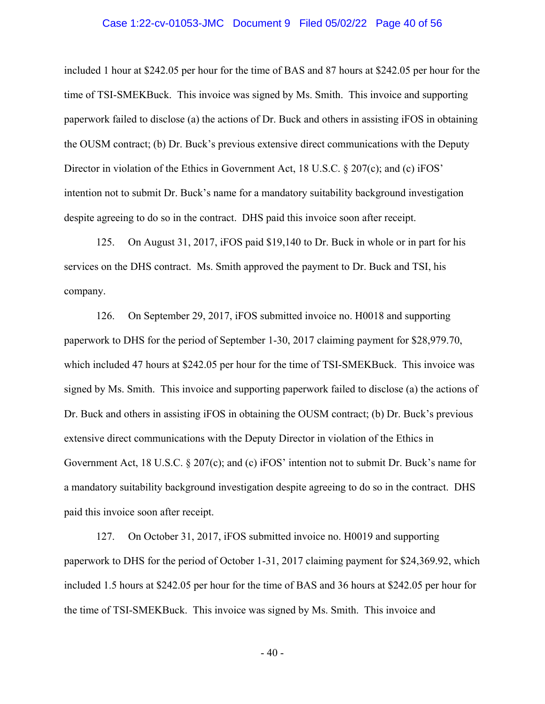## Case 1:22-cv-01053-JMC Document 9 Filed 05/02/22 Page 40 of 56

included 1 hour at \$242.05 per hour for the time of BAS and 87 hours at \$242.05 per hour for the time of TSI-SMEKBuck. This invoice was signed by Ms. Smith. This invoice and supporting paperwork failed to disclose (a) the actions of Dr. Buck and others in assisting iFOS in obtaining the OUSM contract; (b) Dr. Buck's previous extensive direct communications with the Deputy Director in violation of the Ethics in Government Act, 18 U.S.C. § 207(c); and (c) iFOS' intention not to submit Dr. Buck's name for a mandatory suitability background investigation despite agreeing to do so in the contract. DHS paid this invoice soon after receipt.

125. On August 31, 2017, iFOS paid \$19,140 to Dr. Buck in whole or in part for his services on the DHS contract. Ms. Smith approved the payment to Dr. Buck and TSI, his company.

126. On September 29, 2017, iFOS submitted invoice no. H0018 and supporting paperwork to DHS for the period of September 1-30, 2017 claiming payment for [\\$28,979.70,](https://28,979.70) which included 47 hours at \$242.05 per hour for the time of TSI-SMEKBuck. This invoice was signed by Ms. Smith. This invoice and supporting paperwork failed to disclose (a) the actions of Dr. Buck and others in assisting iFOS in obtaining the OUSM contract; (b) Dr. Buck's previous extensive direct communications with the Deputy Director in violation of the Ethics in Government Act, 18 U.S.C. § 207(c); and (c) iFOS' intention not to submit Dr. Buck's name for a mandatory suitability background investigation despite agreeing to do so in the contract. DHS paid this invoice soon after receipt.

127. On October 31, 2017, iFOS submitted invoice no. H0019 and supporting paperwork to DHS for the period of October 1-31, 2017 claiming payment for \$[24,369.92](https://24,369.92), which included 1.5 hours at \$242.05 per hour for the time of BAS and 36 hours at \$242.05 per hour for the time of TSI-SMEKBuck. This invoice was signed by Ms. Smith. This invoice and

- 40 -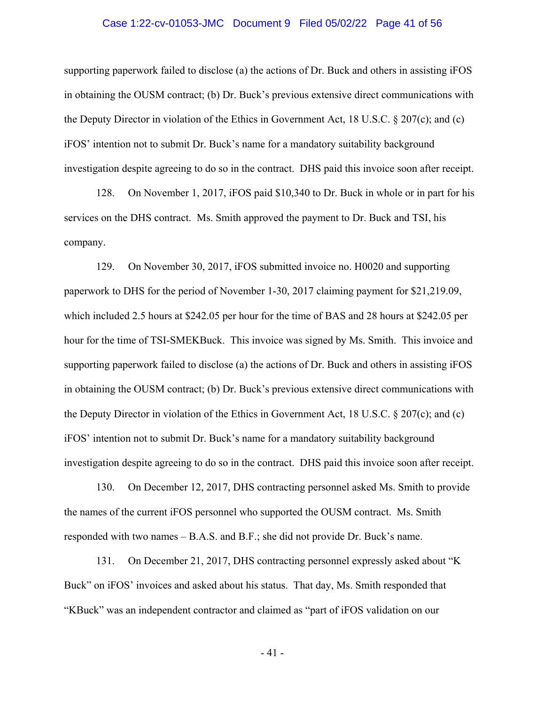## Case 1:22-cv-01053-JMC Document 9 Filed 05/02/22 Page 41 of 56

supporting paperwork failed to disclose (a) the actions of Dr. Buck and others in assisting iFOS in obtaining the OUSM contract; (b) Dr. Buck's previous extensive direct communications with the Deputy Director in violation of the Ethics in Government Act, 18 U.S.C. § 207(c); and (c) iFOS' intention not to submit Dr. Buck's name for a mandatory suitability background investigation despite agreeing to do so in the contract. DHS paid this invoice soon after receipt.

128. On November 1, 2017, iFOS paid \$10,340 to Dr. Buck in whole or in part for his services on the DHS contract. Ms. Smith approved the payment to Dr. Buck and TSI, his company.

129. On November 30, 2017, iFOS submitted invoice no. H0020 and supporting paperwork to DHS for the period of November 1-30, 2017 claiming payment for \$[21,219.09,](https://21,219.09) which included 2.5 hours at \$242.05 per hour for the time of BAS and 28 hours at \$242.05 per hour for the time of TSI-SMEKBuck. This invoice was signed by Ms. Smith. This invoice and supporting paperwork failed to disclose (a) the actions of Dr. Buck and others in assisting iFOS in obtaining the OUSM contract; (b) Dr. Buck's previous extensive direct communications with the Deputy Director in violation of the Ethics in Government Act, 18 U.S.C. § 207(c); and (c) iFOS' intention not to submit Dr. Buck's name for a mandatory suitability background investigation despite agreeing to do so in the contract. DHS paid this invoice soon after receipt.

130. On December 12, 2017, DHS contracting personnel asked Ms. Smith to provide the names of the current iFOS personnel who supported the OUSM contract. Ms. Smith responded with two names – B.A.S. and B.F.; she did not provide Dr. Buck's name.

131. On December 21, 2017, DHS contracting personnel expressly asked about "K Buck" on iFOS' invoices and asked about his status. That day, Ms. Smith responded that "KBuck" was an independent contractor and claimed as "part of iFOS validation on our

- 41 -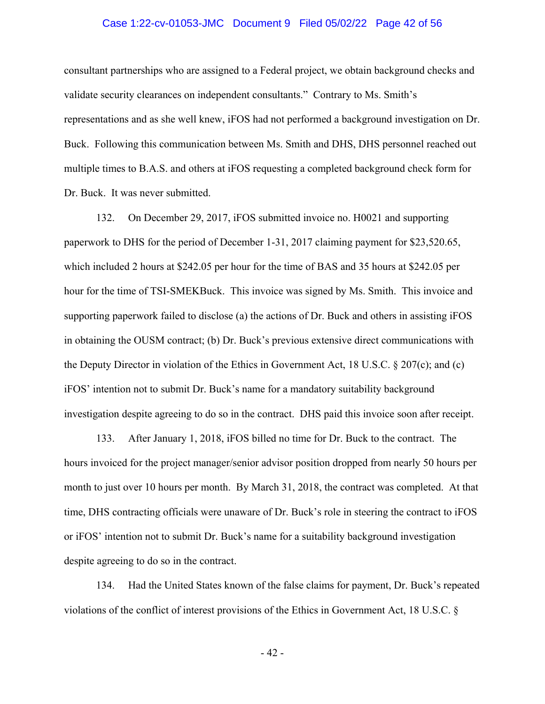## Case 1:22-cv-01053-JMC Document 9 Filed 05/02/22 Page 42 of 56

consultant partnerships who are assigned to a Federal project, we obtain background checks and validate security clearances on independent consultants." Contrary to Ms. Smith's representations and as she well knew, iFOS had not performed a background investigation on Dr. Buck. Following this communication between Ms. Smith and DHS, DHS personnel reached out multiple times to B.A.S. and others at iFOS requesting a completed background check form for Dr. Buck. It was never submitted.

132. On December 29, 2017, iFOS submitted invoice no. H0021 and supporting paperwork to DHS for the period of December 1-31, 2017 claiming payment for \$[23,520.65,](https://23,520.65) which included 2 hours at \$242.05 per hour for the time of BAS and 35 hours at \$242.05 per hour for the time of TSI-SMEKBuck. This invoice was signed by Ms. Smith. This invoice and supporting paperwork failed to disclose (a) the actions of Dr. Buck and others in assisting iFOS in obtaining the OUSM contract; (b) Dr. Buck's previous extensive direct communications with the Deputy Director in violation of the Ethics in Government Act, 18 U.S.C. § 207(c); and (c) iFOS' intention not to submit Dr. Buck's name for a mandatory suitability background investigation despite agreeing to do so in the contract. DHS paid this invoice soon after receipt.

133. After January 1, 2018, iFOS billed no time for Dr. Buck to the contract. The hours invoiced for the project manager/senior advisor position dropped from nearly 50 hours per month to just over 10 hours per month. By March 31, 2018, the contract was completed. At that time, DHS contracting officials were unaware of Dr. Buck's role in steering the contract to iFOS or iFOS' intention not to submit Dr. Buck's name for a suitability background investigation despite agreeing to do so in the contract.

134. Had the United States known of the false claims for payment, Dr. Buck's repeated violations of the conflict of interest provisions of the Ethics in Government Act, 18 U.S.C. §

- 42 -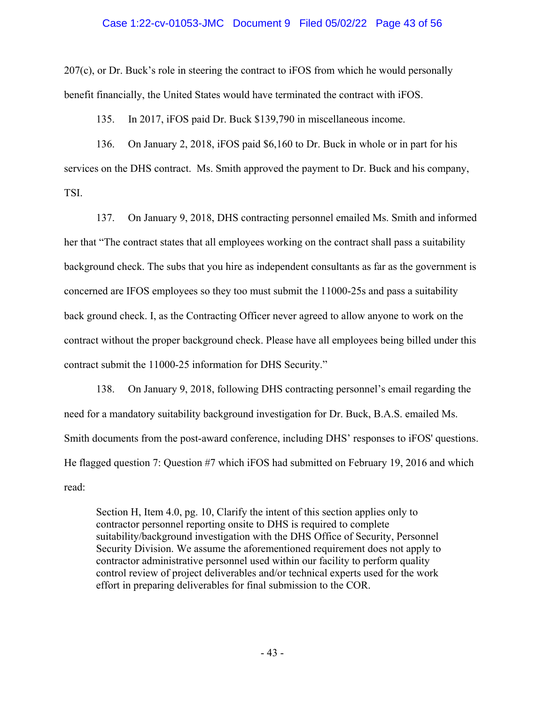## Case 1:22-cv-01053-JMC Document 9 Filed 05/02/22 Page 43 of 56

207(c), or Dr. Buck's role in steering the contract to iFOS from which he would personally benefit financially, the United States would have terminated the contract with iFOS.

135. In 2017, iFOS paid Dr. Buck \$139,790 in miscellaneous income.

136. On January 2, 2018, iFOS paid \$6,160 to Dr. Buck in whole or in part for his services on the DHS contract. Ms. Smith approved the payment to Dr. Buck and his company, TSI.

137. On January 9, 2018, DHS contracting personnel emailed Ms. Smith and informed her that "The contract states that all employees working on the contract shall pass a suitability background check. The subs that you hire as independent consultants as far as the government is concerned are IFOS employees so they too must submit the 11000-25s and pass a suitability back ground check. I, as the Contracting Officer never agreed to allow anyone to work on the contract without the proper background check. Please have all employees being billed under this contract submit the 11000-25 information for DHS Security."

138. On January 9, 2018, following DHS contracting personnel's email regarding the need for a mandatory suitability background investigation for Dr. Buck, B.A.S. emailed Ms. Smith documents from the post-award conference, including DHS' responses to iFOS' questions. He flagged question 7: Question #7 which iFOS had submitted on February 19, 2016 and which read:

Section H, Item 4.0, pg. 10, Clarify the intent of this section applies only to contractor personnel reporting onsite to DHS is required to complete suitability/background investigation with the DHS Office of Security, Personnel Security Division. We assume the aforementioned requirement does not apply to contractor administrative personnel used within our facility to perform quality control review of project deliverables and/or technical experts used for the work effort in preparing deliverables for final submission to the COR.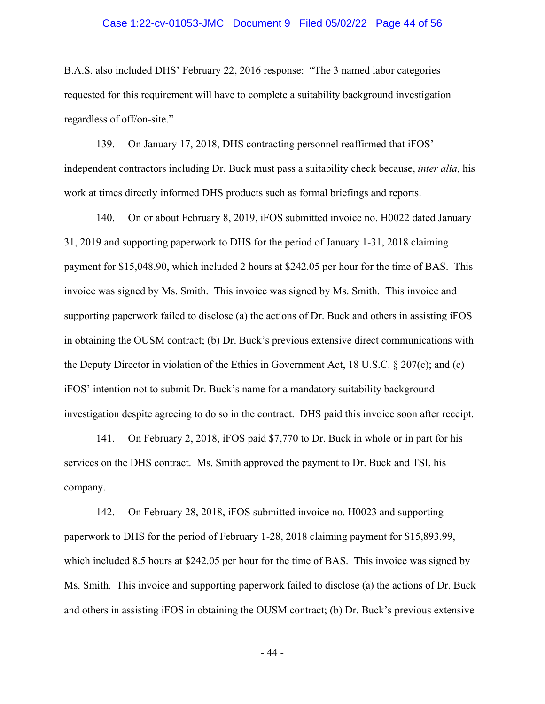## Case 1:22-cv-01053-JMC Document 9 Filed 05/02/22 Page 44 of 56

B.A.S. also included DHS' February 22, 2016 response: "The 3 named labor categories requested for this requirement will have to complete a suitability background investigation regardless of off/on-site."

139. On January 17, 2018, DHS contracting personnel reaffirmed that iFOS' independent contractors including Dr. Buck must pass a suitability check because, *inter alia,* his work at times directly informed DHS products such as formal briefings and reports.

140. On or about February 8, 2019, iFOS submitted invoice no. H0022 dated January 31, 2019 and supporting paperwork to DHS for the period of January 1-31, 2018 claiming payment for [\\$15,048.90](https://15,048.90), which included 2 hours at \$242.05 per hour for the time of BAS. This invoice was signed by Ms. Smith. This invoice was signed by Ms. Smith. This invoice and supporting paperwork failed to disclose (a) the actions of Dr. Buck and others in assisting iFOS in obtaining the OUSM contract; (b) Dr. Buck's previous extensive direct communications with the Deputy Director in violation of the Ethics in Government Act, 18 U.S.C. § 207(c); and (c) iFOS' intention not to submit Dr. Buck's name for a mandatory suitability background investigation despite agreeing to do so in the contract. DHS paid this invoice soon after receipt.

141. On February 2, 2018, iFOS paid \$7,770 to Dr. Buck in whole or in part for his services on the DHS contract. Ms. Smith approved the payment to Dr. Buck and TSI, his company.

142. On February 28, 2018, iFOS submitted invoice no. H0023 and supporting paperwork to DHS for the period of February 1-28, 2018 claiming payment for \$[15,893.99,](https://15,893.99) which included 8.5 hours at \$242.05 per hour for the time of BAS. This invoice was signed by Ms. Smith. This invoice and supporting paperwork failed to disclose (a) the actions of Dr. Buck and others in assisting iFOS in obtaining the OUSM contract; (b) Dr. Buck's previous extensive

- 44 -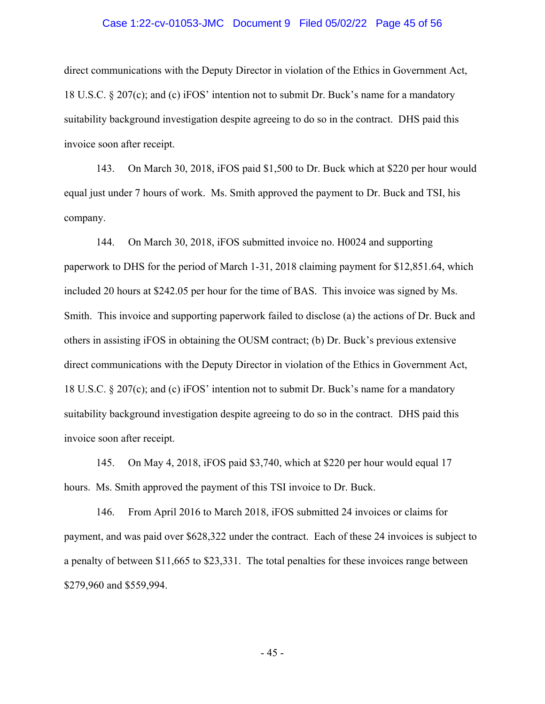## Case 1:22-cv-01053-JMC Document 9 Filed 05/02/22 Page 45 of 56

direct communications with the Deputy Director in violation of the Ethics in Government Act, 18 U.S.C. § 207(c); and (c) iFOS' intention not to submit Dr. Buck's name for a mandatory suitability background investigation despite agreeing to do so in the contract. DHS paid this invoice soon after receipt.

143. On March 30, 2018, iFOS paid \$1,500 to Dr. Buck which at \$220 per hour would equal just under 7 hours of work. Ms. Smith approved the payment to Dr. Buck and TSI, his company.

144. On March 30, 2018, iFOS submitted invoice no. H0024 and supporting paperwork to DHS for the period of March 1-31, 2018 claiming payment for \$[12,851.64,](https://12,851.64) which included 20 hours at \$242.05 per hour for the time of BAS. This invoice was signed by Ms. Smith. This invoice and supporting paperwork failed to disclose (a) the actions of Dr. Buck and others in assisting iFOS in obtaining the OUSM contract; (b) Dr. Buck's previous extensive direct communications with the Deputy Director in violation of the Ethics in Government Act, 18 U.S.C. § 207(c); and (c) iFOS' intention not to submit Dr. Buck's name for a mandatory suitability background investigation despite agreeing to do so in the contract. DHS paid this invoice soon after receipt.

145. On May 4, 2018, iFOS paid \$3,740, which at \$220 per hour would equal 17 hours. Ms. Smith approved the payment of this TSI invoice to Dr. Buck.

146. From April 2016 to March 2018, iFOS submitted 24 invoices or claims for payment, and was paid over \$628,322 under the contract. Each of these 24 invoices is subject to a penalty of between \$11,665 to \$23,331. The total penalties for these invoices range between \$279,960 and \$559,994.

- 45 -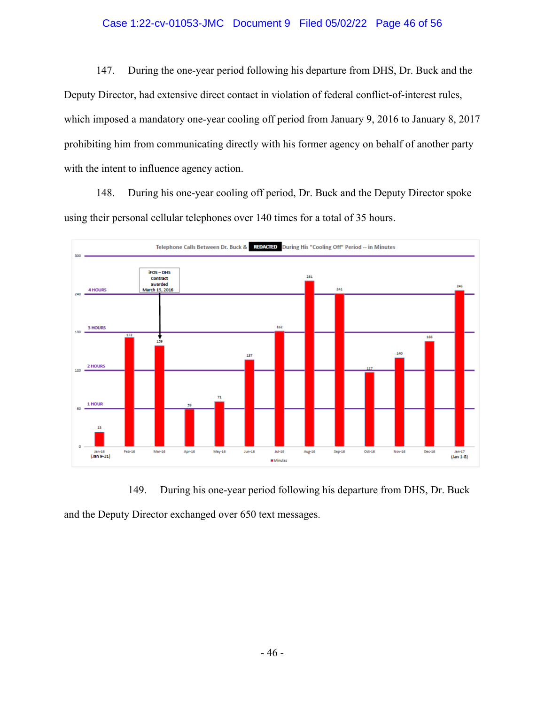## Case 1:22-cv-01053-JMC Document 9 Filed 05/02/22 Page 46 of 56

147. During the one-year period following his departure from DHS, Dr. Buck and the Deputy Director, had extensive direct contact in violation of federal conflict-of-interest rules, which imposed a mandatory one-year cooling off period from January 9, 2016 to January 8, 2017 prohibiting him from communicating directly with his former agency on behalf of another party with the intent to influence agency action.

148. During his one-year cooling off period, Dr. Buck and the Deputy Director spoke using their personal cellular telephones over 140 times for a total of 35 hours.



149. During his one-year period following his departure from DHS, Dr. Buck and the Deputy Director exchanged over 650 text messages.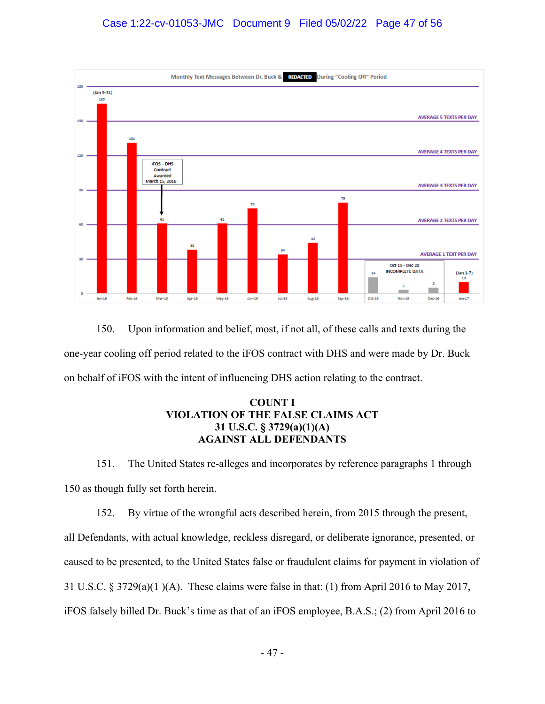

150. Upon information and belief, most, if not all, of these calls and texts during the one-year cooling off period related to the iFOS contract with DHS and were made by Dr. Buck on behalf of iFOS with the intent of influencing DHS action relating to the contract.

# **COUNT I VIOLATION OF THE FALSE CLAIMS ACT 31 U.S.C. § 3729(a)(1)(A) AGAINST ALL DEFENDANTS**

151. The United States re-alleges and incorporates by reference paragraphs 1 through 150 as though fully set forth herein.

152. By virtue of the wrongful acts described herein, from 2015 through the present, all Defendants, with actual knowledge, reckless disregard, or deliberate ignorance, presented, or caused to be presented, to the United States false or fraudulent claims for payment in violation of 31 U.S.C. § 3729(a)(1 )(A). These claims were false in that: (1) from April 2016 to May 2017, iFOS falsely billed Dr. Buck's time as that of an iFOS employee, B.A.S.; (2) from April 2016 to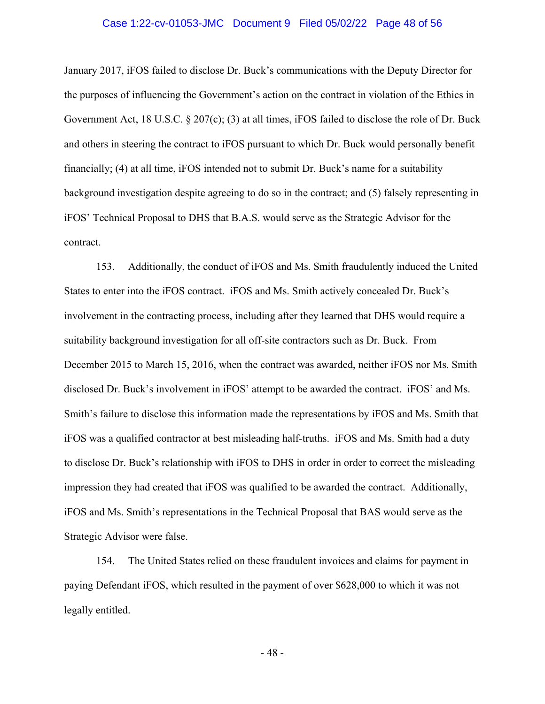## Case 1:22-cv-01053-JMC Document 9 Filed 05/02/22 Page 48 of 56

January 2017, iFOS failed to disclose Dr. Buck's communications with the Deputy Director for the purposes of influencing the Government's action on the contract in violation of the Ethics in Government Act, 18 U.S.C. § 207(c); (3) at all times, iFOS failed to disclose the role of Dr. Buck and others in steering the contract to iFOS pursuant to which Dr. Buck would personally benefit financially; (4) at all time, iFOS intended not to submit Dr. Buck's name for a suitability background investigation despite agreeing to do so in the contract; and (5) falsely representing in iFOS' Technical Proposal to DHS that B.A.S. would serve as the Strategic Advisor for the contract.

153. Additionally, the conduct of iFOS and Ms. Smith fraudulently induced the United States to enter into the iFOS contract. iFOS and Ms. Smith actively concealed Dr. Buck's involvement in the contracting process, including after they learned that DHS would require a suitability background investigation for all off-site contractors such as Dr. Buck. From December 2015 to March 15, 2016, when the contract was awarded, neither iFOS nor Ms. Smith disclosed Dr. Buck's involvement in iFOS' attempt to be awarded the contract. iFOS' and Ms. Smith's failure to disclose this information made the representations by iFOS and Ms. Smith that iFOS was a qualified contractor at best misleading half-truths. iFOS and Ms. Smith had a duty to disclose Dr. Buck's relationship with iFOS to DHS in order in order to correct the misleading impression they had created that iFOS was qualified to be awarded the contract. Additionally, iFOS and Ms. Smith's representations in the Technical Proposal that BAS would serve as the Strategic Advisor were false.

154. The United States relied on these fraudulent invoices and claims for payment in paying Defendant iFOS, which resulted in the payment of over \$628,000 to which it was not legally entitled.

- 48 -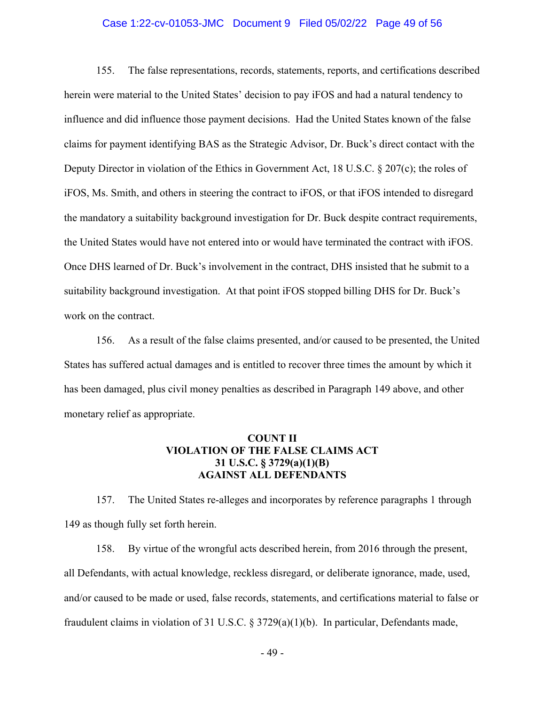## Case 1:22-cv-01053-JMC Document 9 Filed 05/02/22 Page 49 of 56

155. The false representations, records, statements, reports, and certifications described herein were material to the United States' decision to pay iFOS and had a natural tendency to influence and did influence those payment decisions. Had the United States known of the false claims for payment identifying BAS as the Strategic Advisor, Dr. Buck's direct contact with the Deputy Director in violation of the Ethics in Government Act, 18 U.S.C. § 207(c); the roles of iFOS, Ms. Smith, and others in steering the contract to iFOS, or that iFOS intended to disregard the mandatory a suitability background investigation for Dr. Buck despite contract requirements, the United States would have not entered into or would have terminated the contract with iFOS. Once DHS learned of Dr. Buck's involvement in the contract, DHS insisted that he submit to a suitability background investigation. At that point iFOS stopped billing DHS for Dr. Buck's work on the contract.

156. As a result of the false claims presented, and/or caused to be presented, the United States has suffered actual damages and is entitled to recover three times the amount by which it has been damaged, plus civil money penalties as described in Paragraph 149 above, and other monetary relief as appropriate.

# **VIOLATION OF THE FALSE CLAIMS ACT 31 U.S.C. § 3729(a)(1)(B) COUNT II AGAINST ALL DEFENDANTS**

157. The United States re-alleges and incorporates by reference paragraphs 1 through 149 as though fully set forth herein.

158. By virtue of the wrongful acts described herein, from 2016 through the present, all Defendants, with actual knowledge, reckless disregard, or deliberate ignorance, made, used, and/or caused to be made or used, false records, statements, and certifications material to false or fraudulent claims in violation of 31 U.S.C. § 3729(a)(1)(b). In particular, Defendants made,

- 49 -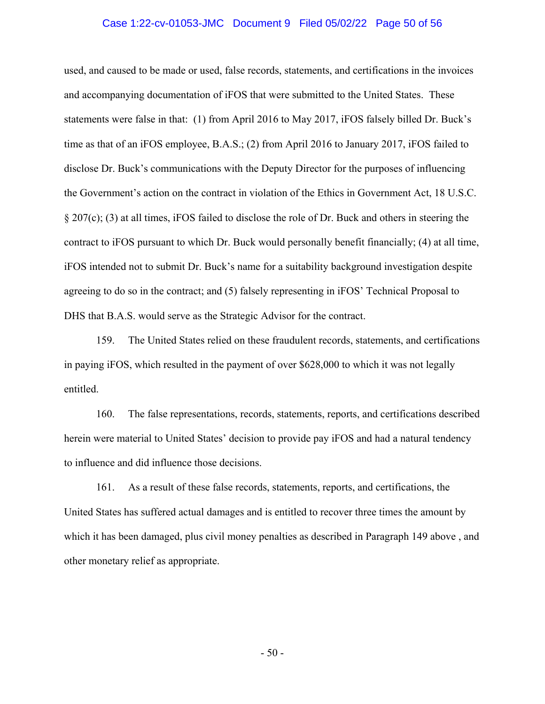## Case 1:22-cv-01053-JMC Document 9 Filed 05/02/22 Page 50 of 56

used, and caused to be made or used, false records, statements, and certifications in the invoices and accompanying documentation of iFOS that were submitted to the United States. These statements were false in that: (1) from April 2016 to May 2017, iFOS falsely billed Dr. Buck's time as that of an iFOS employee, B.A.S.; (2) from April 2016 to January 2017, iFOS failed to disclose Dr. Buck's communications with the Deputy Director for the purposes of influencing the Government's action on the contract in violation of the Ethics in Government Act, 18 U.S.C. § 207(c); (3) at all times, iFOS failed to disclose the role of Dr. Buck and others in steering the contract to iFOS pursuant to which Dr. Buck would personally benefit financially; (4) at all time, iFOS intended not to submit Dr. Buck's name for a suitability background investigation despite agreeing to do so in the contract; and (5) falsely representing in iFOS' Technical Proposal to DHS that B.A.S. would serve as the Strategic Advisor for the contract.

159. The United States relied on these fraudulent records, statements, and certifications in paying iFOS, which resulted in the payment of over \$628,000 to which it was not legally entitled.

160. The false representations, records, statements, reports, and certifications described herein were material to United States' decision to provide pay iFOS and had a natural tendency to influence and did influence those decisions.

161. As a result of these false records, statements, reports, and certifications, the United States has suffered actual damages and is entitled to recover three times the amount by which it has been damaged, plus civil money penalties as described in Paragraph 149 above , and other monetary relief as appropriate.

- 50 -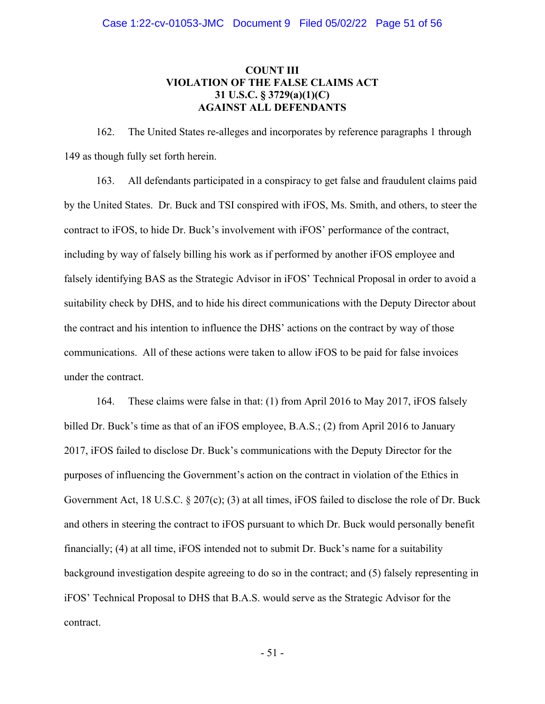# **VIOLATION OF THE FALSE CLAIMS ACT 31 U.S.C. § 3729(a)(1)(C) COUNT III AGAINST ALL DEFENDANTS**

162. The United States re-alleges and incorporates by reference paragraphs 1 through 149 as though fully set forth herein.

163. All defendants participated in a conspiracy to get false and fraudulent claims paid by the United States. Dr. Buck and TSI conspired with iFOS, Ms. Smith, and others, to steer the contract to iFOS, to hide Dr. Buck's involvement with iFOS' performance of the contract, including by way of falsely billing his work as if performed by another iFOS employee and falsely identifying BAS as the Strategic Advisor in iFOS' Technical Proposal in order to avoid a suitability check by DHS, and to hide his direct communications with the Deputy Director about the contract and his intention to influence the DHS' actions on the contract by way of those communications. All of these actions were taken to allow iFOS to be paid for false invoices under the contract.

164. These claims were false in that: (1) from April 2016 to May 2017, iFOS falsely billed Dr. Buck's time as that of an iFOS employee, B.A.S.; (2) from April 2016 to January 2017, iFOS failed to disclose Dr. Buck's communications with the Deputy Director for the purposes of influencing the Government's action on the contract in violation of the Ethics in Government Act, 18 U.S.C. § 207(c); (3) at all times, iFOS failed to disclose the role of Dr. Buck and others in steering the contract to iFOS pursuant to which Dr. Buck would personally benefit financially; (4) at all time, iFOS intended not to submit Dr. Buck's name for a suitability background investigation despite agreeing to do so in the contract; and (5) falsely representing in iFOS' Technical Proposal to DHS that B.A.S. would serve as the Strategic Advisor for the contract.

- 51 -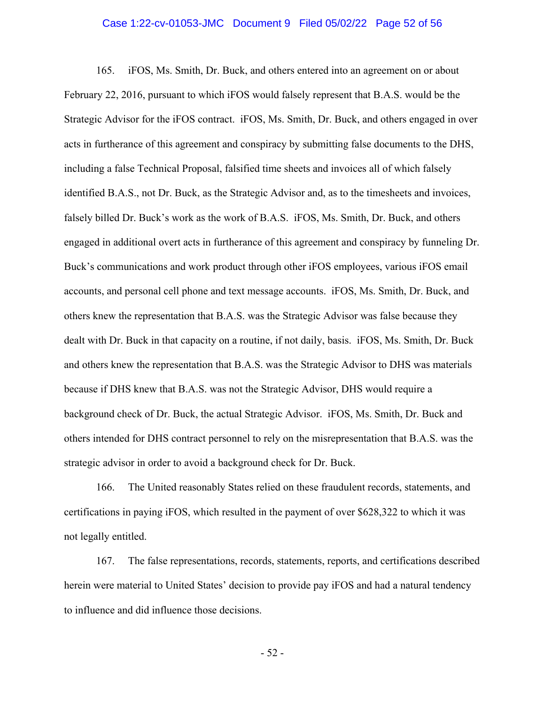## Case 1:22-cv-01053-JMC Document 9 Filed 05/02/22 Page 52 of 56

165. iFOS, Ms. Smith, Dr. Buck, and others entered into an agreement on or about February 22, 2016, pursuant to which iFOS would falsely represent that B.A.S. would be the Strategic Advisor for the iFOS contract. iFOS, Ms. Smith, Dr. Buck, and others engaged in over acts in furtherance of this agreement and conspiracy by submitting false documents to the DHS, including a false Technical Proposal, falsified time sheets and invoices all of which falsely identified B.A.S., not Dr. Buck, as the Strategic Advisor and, as to the timesheets and invoices, falsely billed Dr. Buck's work as the work of B.A.S. iFOS, Ms. Smith, Dr. Buck, and others engaged in additional overt acts in furtherance of this agreement and conspiracy by funneling Dr. Buck's communications and work product through other iFOS employees, various iFOS email accounts, and personal cell phone and text message accounts. iFOS, Ms. Smith, Dr. Buck, and others knew the representation that B.A.S. was the Strategic Advisor was false because they dealt with Dr. Buck in that capacity on a routine, if not daily, basis. iFOS, Ms. Smith, Dr. Buck and others knew the representation that B.A.S. was the Strategic Advisor to DHS was materials because if DHS knew that B.A.S. was not the Strategic Advisor, DHS would require a background check of Dr. Buck, the actual Strategic Advisor. iFOS, Ms. Smith, Dr. Buck and others intended for DHS contract personnel to rely on the misrepresentation that B.A.S. was the strategic advisor in order to avoid a background check for Dr. Buck.

166. The United reasonably States relied on these fraudulent records, statements, and certifications in paying iFOS, which resulted in the payment of over \$628,322 to which it was not legally entitled.

167. The false representations, records, statements, reports, and certifications described herein were material to United States' decision to provide pay iFOS and had a natural tendency to influence and did influence those decisions.

- 52 -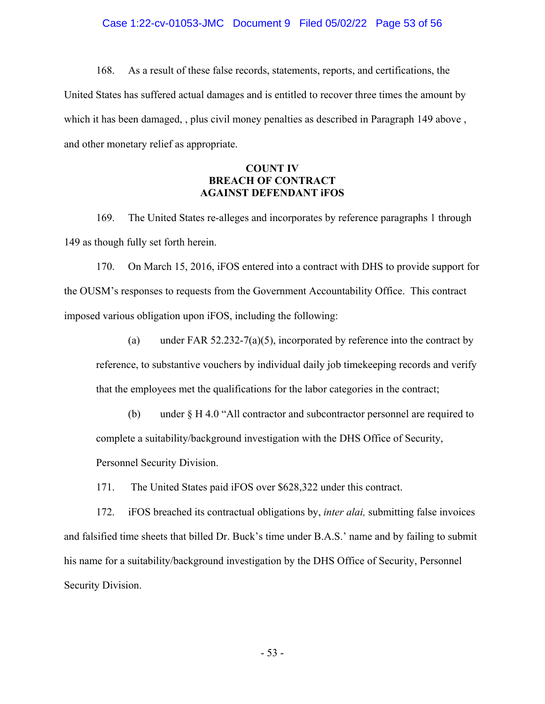## Case 1:22-cv-01053-JMC Document 9 Filed 05/02/22 Page 53 of 56

168. As a result of these false records, statements, reports, and certifications, the United States has suffered actual damages and is entitled to recover three times the amount by which it has been damaged, , plus civil money penalties as described in Paragraph 149 above , and other monetary relief as appropriate.

## **COUNT IV BREACH OF CONTRACT AGAINST DEFENDANT iFOS**

169. The United States re-alleges and incorporates by reference paragraphs 1 through 149 as though fully set forth herein.

170. On March 15, 2016, iFOS entered into a contract with DHS to provide support for the OUSM's responses to requests from the Government Accountability Office. This contract imposed various obligation upon iFOS, including the following:

- (a) under FAR 52.232-7(a)(5), incorporated by reference into the contract by reference, to substantive vouchers by individual daily job timekeeping records and verify that the employees met the qualifications for the labor categories in the contract;
- (b) under § H 4.0 "All contractor and subcontractor personnel are required to complete a suitability/background investigation with the DHS Office of Security, Personnel Security Division.

171. The United States paid iFOS over \$628,322 under this contract.

172. iFOS breached its contractual obligations by, *inter alai,* submitting false invoices and falsified time sheets that billed Dr. Buck's time under B.A.S.' name and by failing to submit his name for a suitability/background investigation by the DHS Office of Security, Personnel Security Division.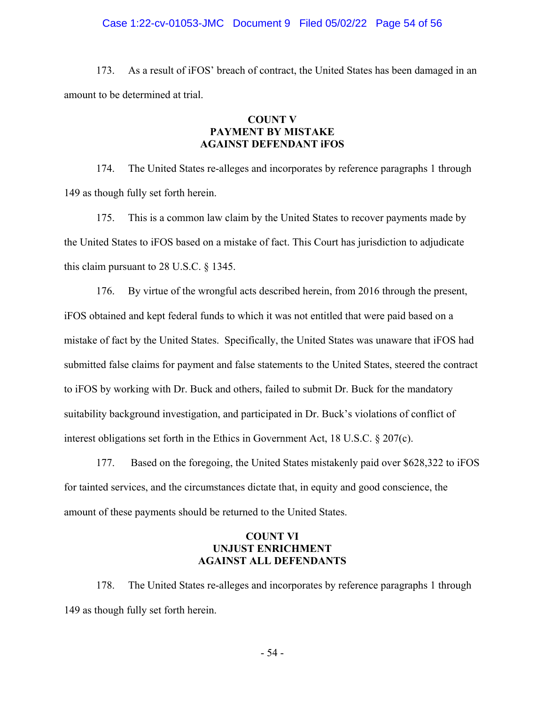## Case 1:22-cv-01053-JMC Document 9 Filed 05/02/22 Page 54 of 56

173. As a result of iFOS' breach of contract, the United States has been damaged in an amount to be determined at trial.

## **COUNT V PAYMENT BY MISTAKE AGAINST DEFENDANT iFOS**

174. The United States re-alleges and incorporates by reference paragraphs 1 through 149 as though fully set forth herein.

175. This is a common law claim by the United States to recover payments made by the United States to iFOS based on a mistake of fact. This Court has jurisdiction to adjudicate this claim pursuant to 28 U.S.C. § 1345.

176. By virtue of the wrongful acts described herein, from 2016 through the present, iFOS obtained and kept federal funds to which it was not entitled that were paid based on a mistake of fact by the United States. Specifically, the United States was unaware that iFOS had submitted false claims for payment and false statements to the United States, steered the contract to iFOS by working with Dr. Buck and others, failed to submit Dr. Buck for the mandatory suitability background investigation, and participated in Dr. Buck's violations of conflict of interest obligations set forth in the Ethics in Government Act, 18 U.S.C. § 207(c).

177. Based on the foregoing, the United States mistakenly paid over \$628,322 to iFOS for tainted services, and the circumstances dictate that, in equity and good conscience, the amount of these payments should be returned to the United States.

## **COUNT VI UNJUST ENRICHMENT AGAINST ALL DEFENDANTS**

178. The United States re-alleges and incorporates by reference paragraphs 1 through 149 as though fully set forth herein.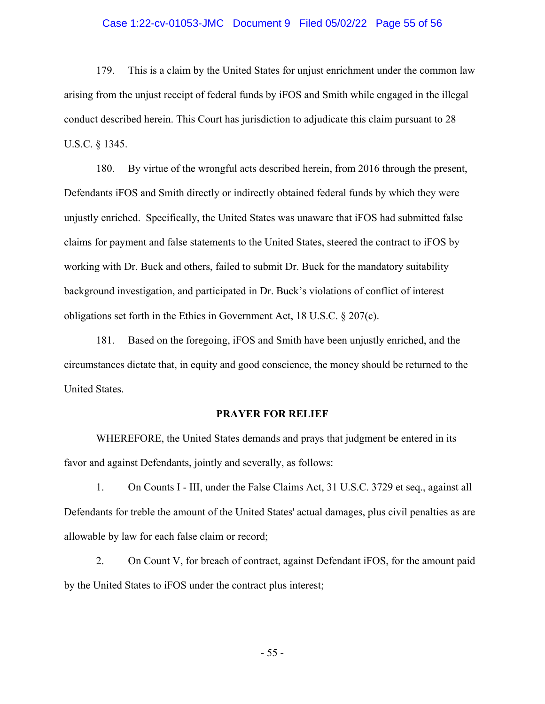## Case 1:22-cv-01053-JMC Document 9 Filed 05/02/22 Page 55 of 56

179. This is a claim by the United States for unjust enrichment under the common law arising from the unjust receipt of federal funds by iFOS and Smith while engaged in the illegal conduct described herein. This Court has jurisdiction to adjudicate this claim pursuant to 28 U.S.C. § 1345.

180. By virtue of the wrongful acts described herein, from 2016 through the present, Defendants iFOS and Smith directly or indirectly obtained federal funds by which they were unjustly enriched. Specifically, the United States was unaware that iFOS had submitted false claims for payment and false statements to the United States, steered the contract to iFOS by working with Dr. Buck and others, failed to submit Dr. Buck for the mandatory suitability background investigation, and participated in Dr. Buck's violations of conflict of interest obligations set forth in the Ethics in Government Act, 18 U.S.C. § 207(c).

181. Based on the foregoing, iFOS and Smith have been unjustly enriched, and the circumstances dictate that, in equity and good conscience, the money should be returned to the United States.

## **PRAYER FOR RELIEF**

WHEREFORE, the United States demands and prays that judgment be entered in its favor and against Defendants, jointly and severally, as follows:

1. On Counts I - III, under the False Claims Act, 31 U.S.C. 3729 et seq., against all Defendants for treble the amount of the United States' actual damages, plus civil penalties as are allowable by law for each false claim or record;

2. On Count V, for breach of contract, against Defendant iFOS, for the amount paid by the United States to iFOS under the contract plus interest;

- 55 -